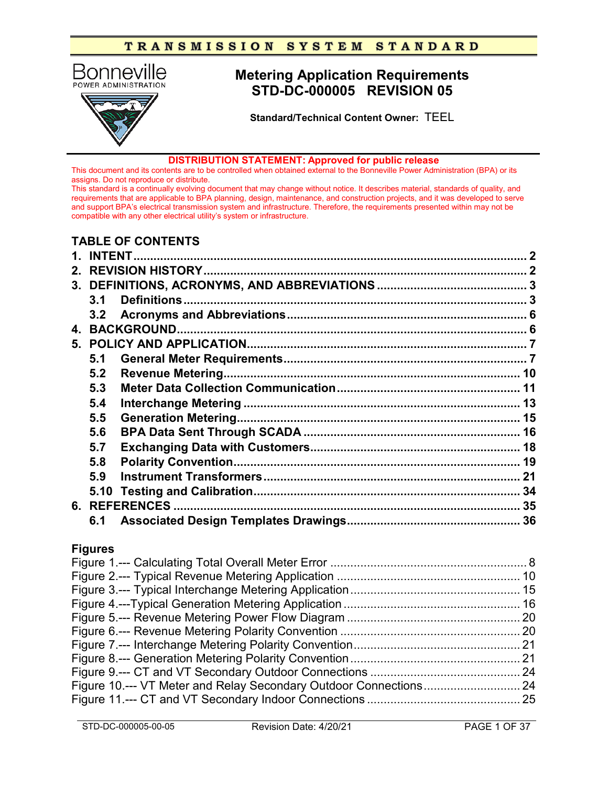

#### **DISTRIBUTION STATEMENT: Approved for public release**

This document and its contents are to be controlled when obtained external to the Bonneville Power Administration (BPA) or its assigns. Do not reproduce or distribute.

This standard is a continually evolving document that may change without notice. It describes material, standards of quality, and requirements that are applicable to BPA planning, design, maintenance, and construction projects, and it was developed to serve and support BPA's electrical transmission system and infrastructure. Therefore, the requirements presented within may not be compatible with any other electrical utility's system or infrastructure.

# **TABLE OF CONTENTS**

| $2_{-}$      |                  |  |  |
|--------------|------------------|--|--|
|              |                  |  |  |
|              | 3.1              |  |  |
|              | 3.2 <sub>1</sub> |  |  |
| $\mathbf{A}$ |                  |  |  |
|              |                  |  |  |
|              | 5.1              |  |  |
|              | 5.2              |  |  |
|              | 5.3              |  |  |
|              | 5.4              |  |  |
|              | 5.5              |  |  |
|              | 5.6              |  |  |
|              | 5.7              |  |  |
|              | 5.8              |  |  |
|              | 5.9              |  |  |
|              | 5.10             |  |  |
|              |                  |  |  |
|              | 6.1              |  |  |
|              |                  |  |  |
|              | <b>Figures</b>   |  |  |
|              |                  |  |  |
|              |                  |  |  |
|              |                  |  |  |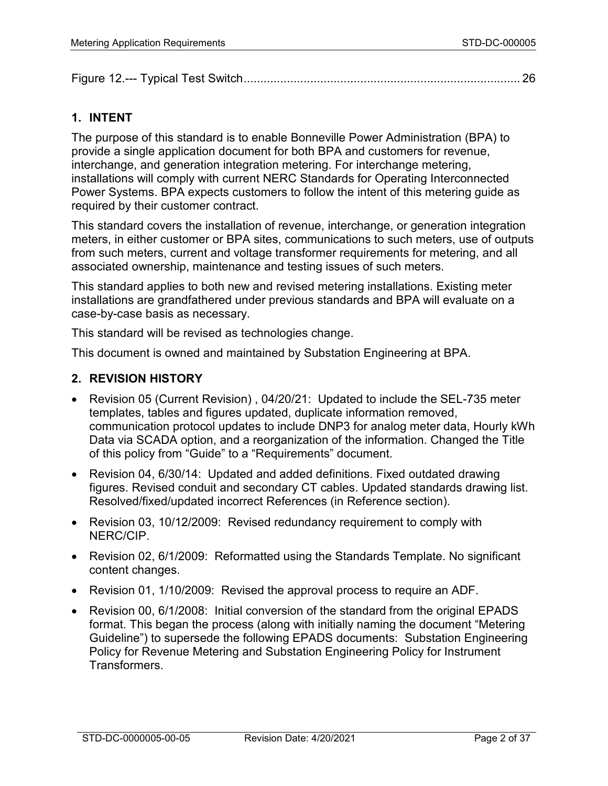| Figure |  |  |
|--------|--|--|
|--------|--|--|

# **1. INTENT**

The purpose of this standard is to enable Bonneville Power Administration (BPA) to provide a single application document for both BPA and customers for revenue, interchange, and generation integration metering. For interchange metering, installations will comply with current NERC Standards for Operating Interconnected Power Systems. BPA expects customers to follow the intent of this metering guide as required by their customer contract.

This standard covers the installation of revenue, interchange, or generation integration meters, in either customer or BPA sites, communications to such meters, use of outputs from such meters, current and voltage transformer requirements for metering, and all associated ownership, maintenance and testing issues of such meters.

This standard applies to both new and revised metering installations. Existing meter installations are grandfathered under previous standards and BPA will evaluate on a case-by-case basis as necessary.

This standard will be revised as technologies change.

This document is owned and maintained by Substation Engineering at BPA.

### **2. REVISION HISTORY**

- Revision 05 (Current Revision) , 04/20/21: Updated to include the SEL-735 meter templates, tables and figures updated, duplicate information removed, communication protocol updates to include DNP3 for analog meter data, Hourly kWh Data via SCADA option, and a reorganization of the information. Changed the Title of this policy from "Guide" to a "Requirements" document.
- Revision 04, 6/30/14: Updated and added definitions. Fixed outdated drawing figures. Revised conduit and secondary CT cables. Updated standards drawing list. Resolved/fixed/updated incorrect References (in Reference section).
- Revision 03, 10/12/2009: Revised redundancy requirement to comply with NERC/CIP.
- Revision 02, 6/1/2009: Reformatted using the Standards Template. No significant content changes.
- Revision 01, 1/10/2009: Revised the approval process to require an ADF.
- Revision 00, 6/1/2008: Initial conversion of the standard from the original EPADS format. This began the process (along with initially naming the document "Metering Guideline") to supersede the following EPADS documents: Substation Engineering Policy for Revenue Metering and Substation Engineering Policy for Instrument Transformers.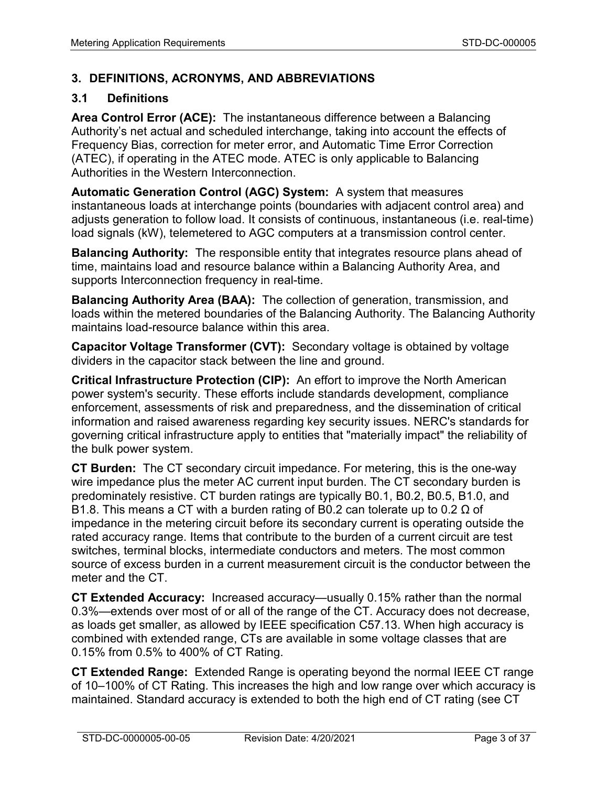# **3. DEFINITIONS, ACRONYMS, AND ABBREVIATIONS**

### **3.1 Definitions**

**Area Control Error (ACE):** The instantaneous difference between a Balancing Authority's net actual and scheduled interchange, taking into account the effects of Frequency Bias, correction for meter error, and Automatic Time Error Correction (ATEC), if operating in the ATEC mode. ATEC is only applicable to Balancing Authorities in the Western Interconnection.

**Automatic Generation Control (AGC) System:** A system that measures instantaneous loads at interchange points (boundaries with adjacent control area) and adjusts generation to follow load. It consists of continuous, instantaneous (i.e. real-time) load signals (kW), telemetered to AGC computers at a transmission control center.

**Balancing Authority:** The responsible entity that integrates resource plans ahead of time, maintains load and resource balance within a Balancing Authority Area, and supports Interconnection frequency in real-time.

**Balancing Authority Area (BAA):** The collection of generation, transmission, and loads within the metered boundaries of the Balancing Authority. The Balancing Authority maintains load-resource balance within this area.

**Capacitor Voltage Transformer (CVT):** Secondary voltage is obtained by voltage dividers in the capacitor stack between the line and ground.

**Critical Infrastructure Protection (CIP):** An effort to improve the North American power system's security. These efforts include standards development, [compliance](http://searchdatamanagement.techtarget.com/definition/compliance) enforcement, assessments of [risk](http://searchcio.techtarget.com/definition/enterprise-risk-management) and preparedness, and the dissemination of critical information and raised awareness regarding key security issues. NERC's standards for governing critical [infrastructure](http://searchdatacenter.techtarget.com/definition/infrastructure) apply to entities that "materially impact" the reliability of the [bulk power system.](http://whatis.techtarget.com/definition/bulk-power-system-BPS)

**CT Burden:** The CT secondary circuit impedance. For metering, this is the one-way wire impedance plus the meter AC current input burden. The CT secondary burden is predominately resistive. CT burden ratings are typically B0.1, B0.2, B0.5, B1.0, and B1.8. This means a CT with a burden rating of B0.2 can tolerate up to 0.2 Ω of impedance in the metering circuit before its secondary current is operating outside the rated accuracy range. Items that contribute to the burden of a current circuit are test switches, terminal blocks, intermediate conductors and meters. The most common source of excess burden in a current measurement circuit is the conductor between the meter and the CT.

**CT Extended Accuracy:** Increased accuracy—usually 0.15% rather than the normal 0.3%—extends over most of or all of the range of the CT. Accuracy does not decrease, as loads get smaller, as allowed by IEEE specification C57.13. When high accuracy is combined with extended range, CTs are available in some voltage classes that are 0.15% from 0.5% to 400% of CT Rating.

**CT Extended Range:** Extended Range is operating beyond the normal IEEE CT range of 10–100% of CT Rating. This increases the high and low range over which accuracy is maintained. Standard accuracy is extended to both the high end of CT rating (see CT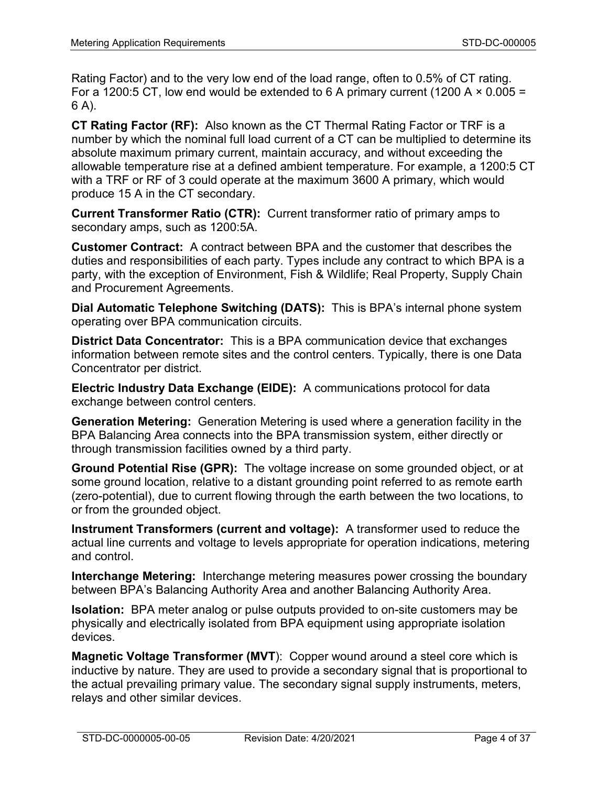Rating Factor) and to the very low end of the load range, often to 0.5% of CT rating. For a 1200:5 CT, low end would be extended to 6 A primary current (1200 A  $\times$  0.005 = 6 A).

**CT Rating Factor (RF):** Also known as the CT Thermal Rating Factor or TRF is a number by which the nominal full load current of a CT can be multiplied to determine its absolute maximum primary current, maintain accuracy, and without exceeding the allowable temperature rise at a defined ambient temperature. For example, a 1200:5 CT with a TRF or RF of 3 could operate at the maximum 3600 A primary, which would produce 15 A in the CT secondary.

**Current Transformer Ratio (CTR):** Current transformer ratio of primary amps to secondary amps, such as 1200:5A.

**Customer Contract:** A contract between BPA and the customer that describes the duties and responsibilities of each party. Types include any contract to which BPA is a party, with the exception of Environment, Fish & Wildlife; Real Property, Supply Chain and Procurement Agreements.

**Dial Automatic Telephone Switching (DATS):** This is BPA's internal phone system operating over BPA communication circuits.

**District Data Concentrator:** This is a BPA communication device that exchanges information between remote sites and the control centers. Typically, there is one Data Concentrator per district.

**Electric Industry Data Exchange (EIDE):** A communications protocol for data exchange between control centers.

**Generation Metering:** Generation Metering is used where a generation facility in the BPA Balancing Area connects into the BPA transmission system, either directly or through transmission facilities owned by a third party.

**Ground Potential Rise (GPR):** The voltage increase on some grounded object, or at some ground location, relative to a distant grounding point referred to as remote earth (zero-potential), due to current flowing through the earth between the two locations, to or from the grounded object.

**Instrument Transformers (current and voltage):** A transformer used to reduce the actual line currents and voltage to levels appropriate for operation indications, metering and control.

**Interchange Metering:** Interchange metering measures power crossing the boundary between BPA's Balancing Authority Area and another Balancing Authority Area.

**Isolation:** BPA meter analog or pulse outputs provided to on-site customers may be physically and electrically isolated from BPA equipment using appropriate isolation devices.

**Magnetic Voltage Transformer (MVT**): Copper wound around a steel core which is inductive by nature. They are used to provide a secondary signal that is proportional to the actual prevailing primary value. The secondary signal supply instruments, meters, relays and other similar devices.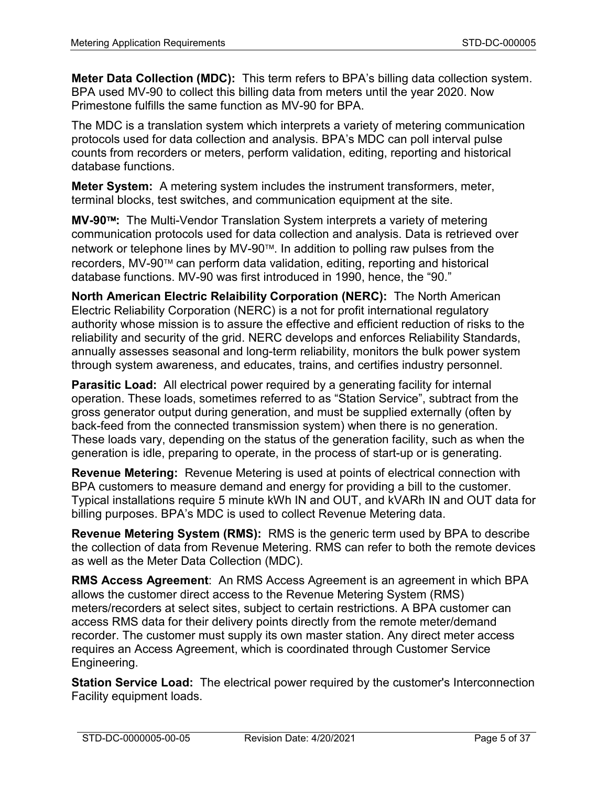**Meter Data Collection (MDC):** This term refers to BPA's billing data collection system. BPA used MV-90 to collect this billing data from meters until the year 2020. Now Primestone fulfills the same function as MV-90 for BPA.

The MDC is a translation system which interprets a variety of metering communication protocols used for data collection and analysis. BPA's MDC can poll interval pulse counts from recorders or meters, perform validation, editing, reporting and historical database functions.

**Meter System:** A metering system includes the instrument transformers, meter, terminal blocks, test switches, and communication equipment at the site.

**MV-90:** The Multi-Vendor Translation System interprets a variety of metering communication protocols used for data collection and analysis. Data is retrieved over network or telephone lines by MV-90™. In addition to polling raw pulses from the recorders, MV-90™ can perform data validation, editing, reporting and historical database functions. MV-90 was first introduced in 1990, hence, the "90."

**North American Electric Relaibility Corporation (NERC):** The North American Electric Reliability Corporation (NERC) is a not for profit international regulatory authority whose mission is to assure the effective and efficient reduction of risks to the reliability and security of the grid. NERC develops and enforces Reliability Standards, annually assesses seasonal and long-term reliability, monitors the bulk power system through system awareness, and educates, trains, and certifies industry personnel.

**Parasitic Load:** All electrical power required by a generating facility for internal operation. These loads, sometimes referred to as "Station Service", subtract from the gross generator output during generation, and must be supplied externally (often by back-feed from the connected transmission system) when there is no generation. These loads vary, depending on the status of the generation facility, such as when the generation is idle, preparing to operate, in the process of start-up or is generating.

**Revenue Metering:** Revenue Metering is used at points of electrical connection with BPA customers to measure demand and energy for providing a bill to the customer. Typical installations require 5 minute kWh IN and OUT, and kVARh IN and OUT data for billing purposes. BPA's MDC is used to collect Revenue Metering data.

**Revenue Metering System (RMS):** RMS is the generic term used by BPA to describe the collection of data from Revenue Metering. RMS can refer to both the remote devices as well as the Meter Data Collection (MDC).

**RMS Access Agreement**: An RMS Access Agreement is an agreement in which BPA allows the customer direct access to the Revenue Metering System (RMS) meters/recorders at select sites, subject to certain restrictions. A BPA customer can access RMS data for their delivery points directly from the remote meter/demand recorder. The customer must supply its own master station. Any direct meter access requires an Access Agreement, which is coordinated through Customer Service Engineering.

**Station Service Load:** The electrical power required by the customer's Interconnection Facility equipment loads.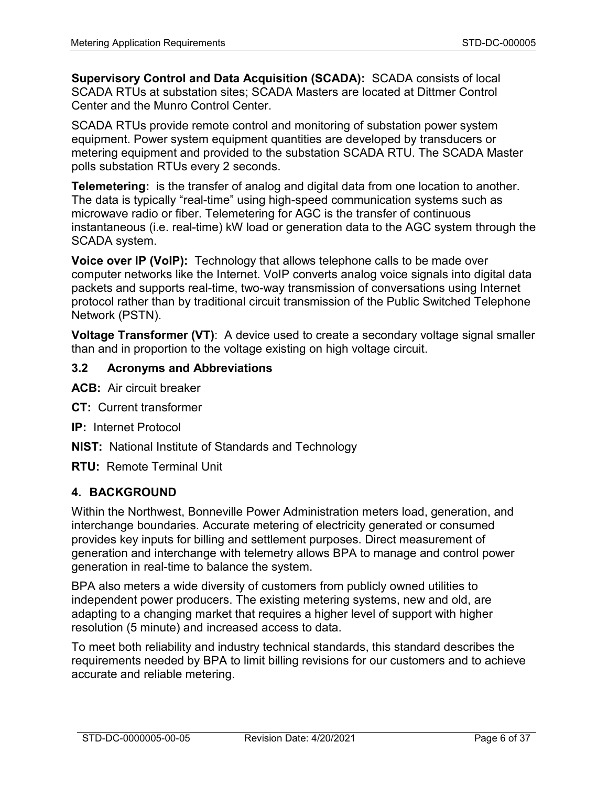**Supervisory Control and Data Acquisition (SCADA):** SCADA consists of local SCADA RTUs at substation sites; SCADA Masters are located at Dittmer Control Center and the Munro Control Center.

SCADA RTUs provide remote control and monitoring of substation power system equipment. Power system equipment quantities are developed by transducers or metering equipment and provided to the substation SCADA RTU. The SCADA Master polls substation RTUs every 2 seconds.

**Telemetering:** is the transfer of analog and digital data from one location to another. The data is typically "real-time" using high-speed communication systems such as microwave radio or fiber. Telemetering for AGC is the transfer of continuous instantaneous (i.e. real-time) kW load or generation data to the AGC system through the SCADA system.

**Voice over IP (VoIP):** Technology that allows telephone calls to be made over computer networks like the Internet. VoIP converts analog voice signals into digital data packets and supports real-time, two-way transmission of conversations using Internet protocol rather than by traditional circuit transmission of the Public Switched Telephone Network (PSTN).

**Voltage Transformer (VT)**: A device used to create a secondary voltage signal smaller than and in proportion to the voltage existing on high voltage circuit.

### **3.2 Acronyms and Abbreviations**

- **ACB:** Air circuit breaker
- **CT:** Current transformer
- **IP:** Internet Protocol
- **NIST:** National Institute of Standards and Technology
- **RTU:** Remote Terminal Unit

## **4. BACKGROUND**

Within the Northwest, Bonneville Power Administration meters load, generation, and interchange boundaries. Accurate metering of electricity generated or consumed provides key inputs for billing and settlement purposes. Direct measurement of generation and interchange with telemetry allows BPA to manage and control power generation in real-time to balance the system.

BPA also meters a wide diversity of customers from publicly owned utilities to independent power producers. The existing metering systems, new and old, are adapting to a changing market that requires a higher level of support with higher resolution (5 minute) and increased access to data.

To meet both reliability and industry technical standards, this standard describes the requirements needed by BPA to limit billing revisions for our customers and to achieve accurate and reliable metering.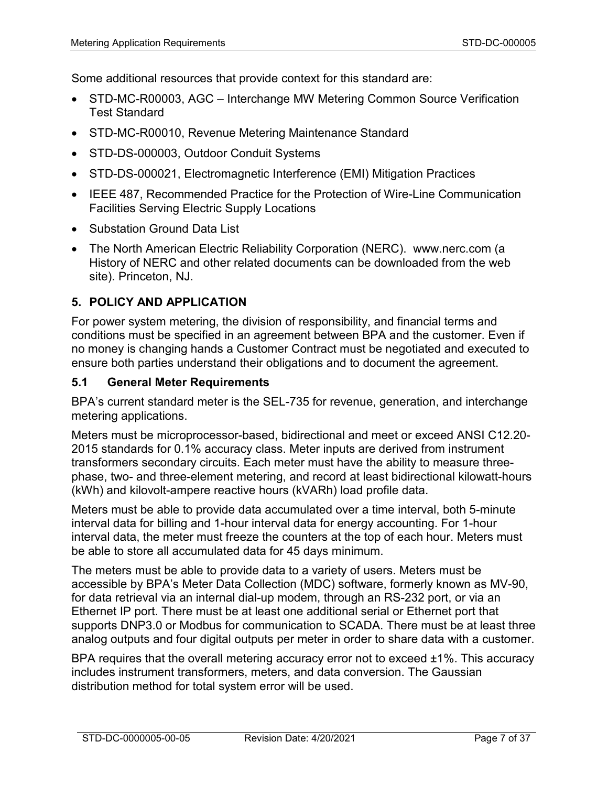Some additional resources that provide context for this standard are:

- STD-MC-R00003, AGC Interchange MW Metering Common Source Verification Test Standard
- STD-MC-R00010, Revenue Metering Maintenance Standard
- STD-DS-000003, Outdoor Conduit Systems
- STD-DS-000021, Electromagnetic Interference (EMI) Mitigation Practices
- IEEE 487, Recommended Practice for the Protection of Wire-Line Communication Facilities Serving Electric Supply Locations
- Substation Ground Data List
- The North American Electric Reliability Corporation (NERC). [www.nerc.com](http://www.nerc.com/) (a History of NERC and other related documents can be downloaded from the web site). Princeton, NJ.

# **5. POLICY AND APPLICATION**

For power system metering, the division of responsibility, and financial terms and conditions must be specified in an agreement between BPA and the customer. Even if no money is changing hands a Customer Contract must be negotiated and executed to ensure both parties understand their obligations and to document the agreement.

### **5.1 General Meter Requirements**

BPA's current standard meter is the SEL-735 for revenue, generation, and interchange metering applications.

Meters must be microprocessor-based, bidirectional and meet or exceed ANSI C12.20- 2015 standards for 0.1% accuracy class. Meter inputs are derived from instrument transformers secondary circuits. Each meter must have the ability to measure threephase, two- and three-element metering, and record at least bidirectional kilowatt-hours (kWh) and kilovolt-ampere reactive hours (kVARh) load profile data.

Meters must be able to provide data accumulated over a time interval, both 5-minute interval data for billing and 1-hour interval data for energy accounting. For 1-hour interval data, the meter must freeze the counters at the top of each hour. Meters must be able to store all accumulated data for 45 days minimum.

The meters must be able to provide data to a variety of users. Meters must be accessible by BPA's Meter Data Collection (MDC) software, formerly known as MV-90, for data retrieval via an internal dial-up modem, through an RS-232 port, or via an Ethernet IP port. There must be at least one additional serial or Ethernet port that supports DNP3.0 or Modbus for communication to SCADA. There must be at least three analog outputs and four digital outputs per meter in order to share data with a customer.

BPA requires that the overall metering accuracy error not to exceed ±1%. This accuracy includes instrument transformers, meters, and data conversion. The Gaussian distribution method for total system error will be used.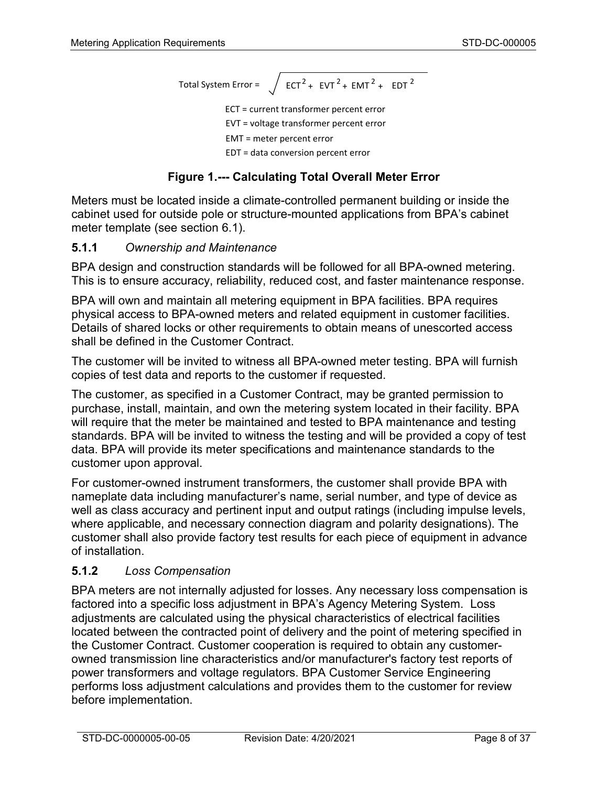Total System Error =  $\int$  ECT<sup>2</sup> + EVT<sup>2</sup> + EMT<sup>2</sup> + EDT<sup>2</sup>

ECT = current transformer percent error EVT = voltage transformer percent error EMT = meter percent error

EDT = data conversion percent error

# **Figure 1.--- Calculating Total Overall Meter Error**

<span id="page-7-0"></span>Meters must be located inside a climate-controlled permanent building or inside the cabinet used for outside pole or structure-mounted applications from BPA's cabinet meter template (see section [6.1\)](#page-35-0).

# **5.1.1** *Ownership and Maintenance*

BPA design and construction standards will be followed for all BPA-owned metering. This is to ensure accuracy, reliability, reduced cost, and faster maintenance response.

BPA will own and maintain all metering equipment in BPA facilities. BPA requires physical access to BPA-owned meters and related equipment in customer facilities. Details of shared locks or other requirements to obtain means of unescorted access shall be defined in the Customer Contract.

The customer will be invited to witness all BPA-owned meter testing. BPA will furnish copies of test data and reports to the customer if requested.

The customer, as specified in a Customer Contract, may be granted permission to purchase, install, maintain, and own the metering system located in their facility. BPA will require that the meter be maintained and tested to BPA maintenance and testing standards. BPA will be invited to witness the testing and will be provided a copy of test data. BPA will provide its meter specifications and maintenance standards to the customer upon approval.

For customer-owned instrument transformers, the customer shall provide BPA with nameplate data including manufacturer's name, serial number, and type of device as well as class accuracy and pertinent input and output ratings (including impulse levels, where applicable, and necessary connection diagram and polarity designations). The customer shall also provide factory test results for each piece of equipment in advance of installation.

#### **5.1.2** *Loss Compensation*

BPA meters are not internally adjusted for losses. Any necessary loss compensation is factored into a specific loss adjustment in BPA's Agency Metering System. Loss adjustments are calculated using the physical characteristics of electrical facilities located between the contracted point of delivery and the point of metering specified in the Customer Contract. Customer cooperation is required to obtain any customerowned transmission line characteristics and/or manufacturer's factory test reports of power transformers and voltage regulators. BPA Customer Service Engineering performs loss adjustment calculations and provides them to the customer for review before implementation.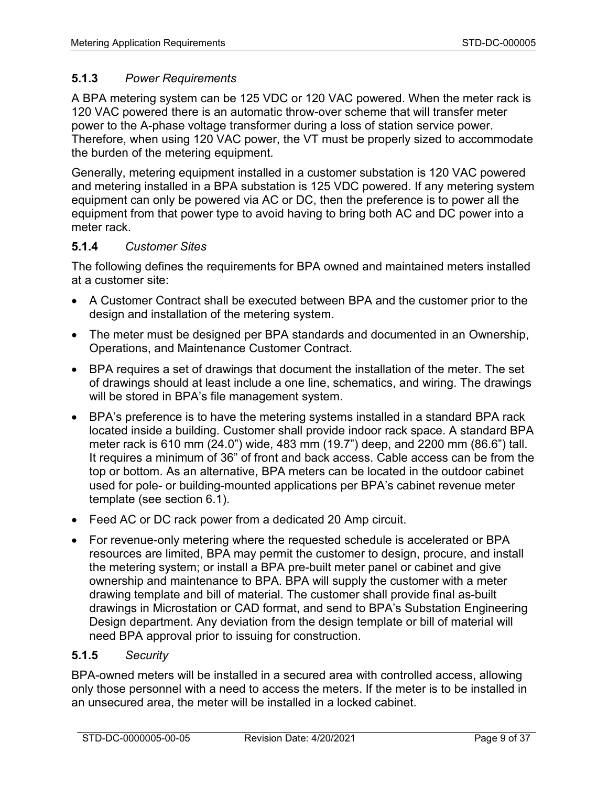## **5.1.3** *Power Requirements*

A BPA metering system can be 125 VDC or 120 VAC powered. When the meter rack is 120 VAC powered there is an automatic throw-over scheme that will transfer meter power to the A-phase voltage transformer during a loss of station service power. Therefore, when using 120 VAC power, the VT must be properly sized to accommodate the burden of the metering equipment.

Generally, metering equipment installed in a customer substation is 120 VAC powered and metering installed in a BPA substation is 125 VDC powered. If any metering system equipment can only be powered via AC or DC, then the preference is to power all the equipment from that power type to avoid having to bring both AC and DC power into a meter rack.

## **5.1.4** *Customer Sites*

The following defines the requirements for BPA owned and maintained meters installed at a customer site:

- A Customer Contract shall be executed between BPA and the customer prior to the design and installation of the metering system.
- The meter must be designed per BPA standards and documented in an Ownership, Operations, and Maintenance Customer Contract.
- BPA requires a set of drawings that document the installation of the meter. The set of drawings should at least include a one line, schematics, and wiring. The drawings will be stored in BPA's file management system.
- BPA's preference is to have the metering systems installed in a standard BPA rack located inside a building. Customer shall provide indoor rack space. A standard BPA meter rack is 610 mm (24.0") wide, 483 mm (19.7") deep, and 2200 mm (86.6") tall. It requires a minimum of 36" of front and back access. Cable access can be from the top or bottom. As an alternative, BPA meters can be located in the outdoor cabinet used for pole- or building-mounted applications per BPA's cabinet revenue meter template (see section 6.1).
- Feed AC or DC rack power from a dedicated 20 Amp circuit.
- For revenue-only metering where the requested schedule is accelerated or BPA resources are limited, BPA may permit the customer to design, procure, and install the metering system; or install a BPA pre-built meter panel or cabinet and give ownership and maintenance to BPA. BPA will supply the customer with a meter drawing template and bill of material. The customer shall provide final as-built drawings in Microstation or CAD format, and send to BPA's Substation Engineering Design department. Any deviation from the design template or bill of material will need BPA approval prior to issuing for construction.

### **5.1.5** *Security*

BPA-owned meters will be installed in a secured area with controlled access, allowing only those personnel with a need to access the meters. If the meter is to be installed in an unsecured area, the meter will be installed in a locked cabinet.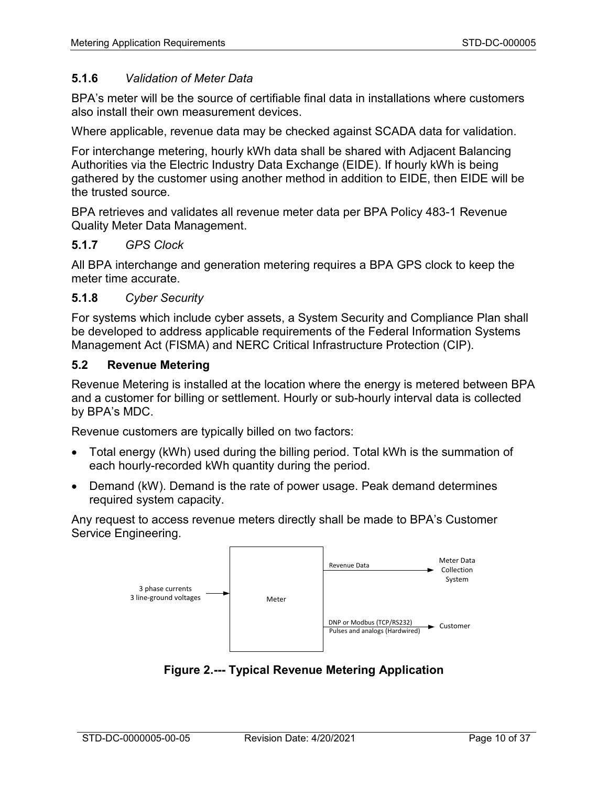### <span id="page-9-1"></span>**5.1.6** *Validation of Meter Data*

BPA's meter will be the source of certifiable final data in installations where customers also install their own measurement devices.

Where applicable, revenue data may be checked against SCADA data for validation.

For interchange metering, hourly kWh data shall be shared with Adjacent Balancing Authorities via the Electric Industry Data Exchange (EIDE). If hourly kWh is being gathered by the customer using another method in addition to EIDE, then EIDE will be the trusted source.

BPA retrieves and validates all revenue meter data per BPA Policy 483-1 Revenue Quality Meter Data Management.

#### **5.1.7** *GPS Clock*

All BPA interchange and generation metering requires a BPA GPS clock to keep the meter time accurate.

#### **5.1.8** *Cyber Security*

For systems which include cyber assets, a System Security and Compliance Plan shall be developed to address applicable requirements of the Federal Information Systems Management Act (FISMA) and NERC Critical Infrastructure Protection (CIP).

#### **5.2 Revenue Metering**

Revenue Metering is installed at the location where the energy is metered between BPA and a customer for billing or settlement. Hourly or sub-hourly interval data is collected by BPA's MDC.

Revenue customers are typically billed on two factors:

- Total energy (kWh) used during the billing period. Total kWh is the summation of each hourly-recorded kWh quantity during the period.
- Demand (kW). Demand is the rate of power usage. Peak demand determines required system capacity.

Any request to access revenue meters directly shall be made to BPA's Customer Service Engineering.



<span id="page-9-0"></span>**Figure 2.--- Typical Revenue Metering Application**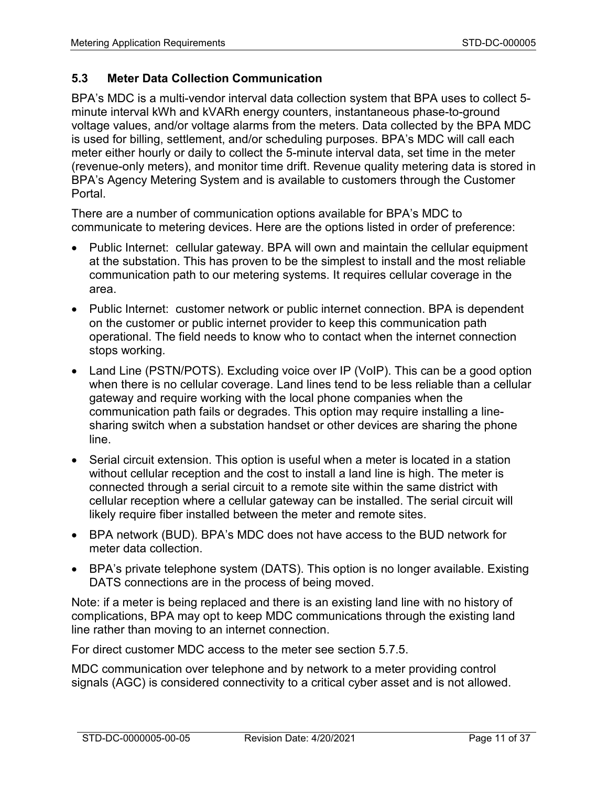# **5.3 Meter Data Collection Communication**

BPA's MDC is a multi-vendor interval data collection system that BPA uses to collect 5 minute interval kWh and kVARh energy counters, instantaneous phase-to-ground voltage values, and/or voltage alarms from the meters. Data collected by the BPA MDC is used for billing, settlement, and/or scheduling purposes. BPA's MDC will call each meter either hourly or daily to collect the 5-minute interval data, set time in the meter (revenue-only meters), and monitor time drift. Revenue quality metering data is stored in BPA's Agency Metering System and is available to customers through the Customer Portal.

There are a number of communication options available for BPA's MDC to communicate to metering devices. Here are the options listed in order of preference:

- Public Internet: cellular gateway. BPA will own and maintain the cellular equipment at the substation. This has proven to be the simplest to install and the most reliable communication path to our metering systems. It requires cellular coverage in the area.
- Public Internet: customer network or public internet connection. BPA is dependent on the customer or public internet provider to keep this communication path operational. The field needs to know who to contact when the internet connection stops working.
- Land Line (PSTN/POTS). Excluding voice over IP (VoIP). This can be a good option when there is no cellular coverage. Land lines tend to be less reliable than a cellular gateway and require working with the local phone companies when the communication path fails or degrades. This option may require installing a linesharing switch when a substation handset or other devices are sharing the phone line.
- Serial circuit extension. This option is useful when a meter is located in a station without cellular reception and the cost to install a land line is high. The meter is connected through a serial circuit to a remote site within the same district with cellular reception where a cellular gateway can be installed. The serial circuit will likely require fiber installed between the meter and remote sites.
- BPA network (BUD). BPA's MDC does not have access to the BUD network for meter data collection.
- BPA's private telephone system (DATS). This option is no longer available. Existing DATS connections are in the process of being moved.

Note: if a meter is being replaced and there is an existing land line with no history of complications, BPA may opt to keep MDC communications through the existing land line rather than moving to an internet connection.

For direct customer MDC access to the meter see section [5.7.5.](#page-18-0)

MDC communication over telephone and by network to a meter providing control signals (AGC) is considered connectivity to a critical cyber asset and is not allowed.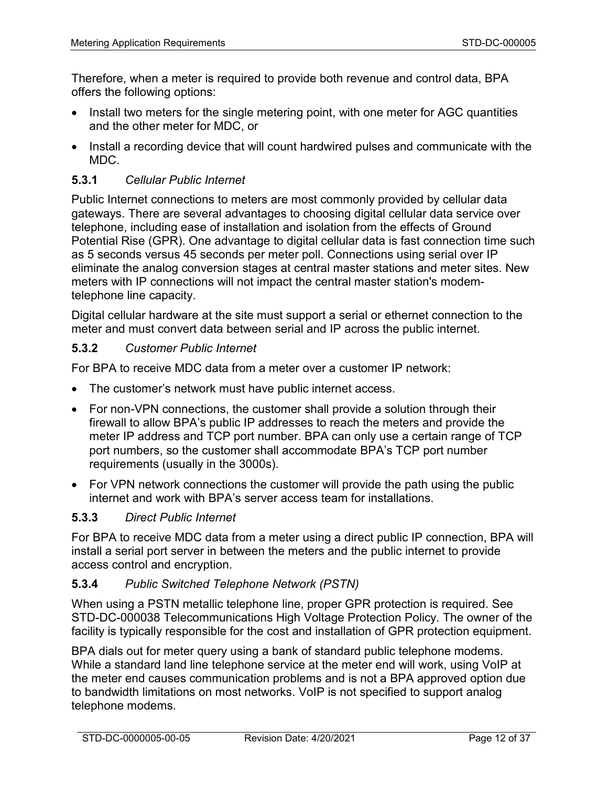Therefore, when a meter is required to provide both revenue and control data, BPA offers the following options:

- Install two meters for the single metering point, with one meter for AGC quantities and the other meter for MDC, or
- Install a recording device that will count hardwired pulses and communicate with the MDC.

# **5.3.1** *Cellular Public Internet*

Public Internet connections to meters are most commonly provided by cellular data gateways. There are several advantages to choosing digital cellular data service over telephone, including ease of installation and isolation from the effects of Ground Potential Rise (GPR). One advantage to digital cellular data is fast connection time such as 5 seconds versus 45 seconds per meter poll. Connections using serial over IP eliminate the analog conversion stages at central master stations and meter sites. New meters with IP connections will not impact the central master station's modemtelephone line capacity.

Digital cellular hardware at the site must support a serial or ethernet connection to the meter and must convert data between serial and IP across the public internet.

## **5.3.2** *Customer Public Internet*

For BPA to receive MDC data from a meter over a customer IP network:

- The customer's network must have public internet access.
- For non-VPN connections, the customer shall provide a solution through their firewall to allow BPA's public IP addresses to reach the meters and provide the meter IP address and TCP port number. BPA can only use a certain range of TCP port numbers, so the customer shall accommodate BPA's TCP port number requirements (usually in the 3000s).
- For VPN network connections the customer will provide the path using the public internet and work with BPA's server access team for installations.

## **5.3.3** *Direct Public Internet*

For BPA to receive MDC data from a meter using a direct public IP connection, BPA will install a serial port server in between the meters and the public internet to provide access control and encryption.

## **5.3.4** *Public Switched Telephone Network (PSTN)*

When using a PSTN metallic telephone line, proper GPR protection is required. See STD-DC-000038 Telecommunications High Voltage Protection Policy. The owner of the facility is typically responsible for the cost and installation of GPR protection equipment.

BPA dials out for meter query using a bank of standard public telephone modems. While a standard land line telephone service at the meter end will work, using VoIP at the meter end causes communication problems and is not a BPA approved option due to bandwidth limitations on most networks. VoIP is not specified to support analog telephone modems.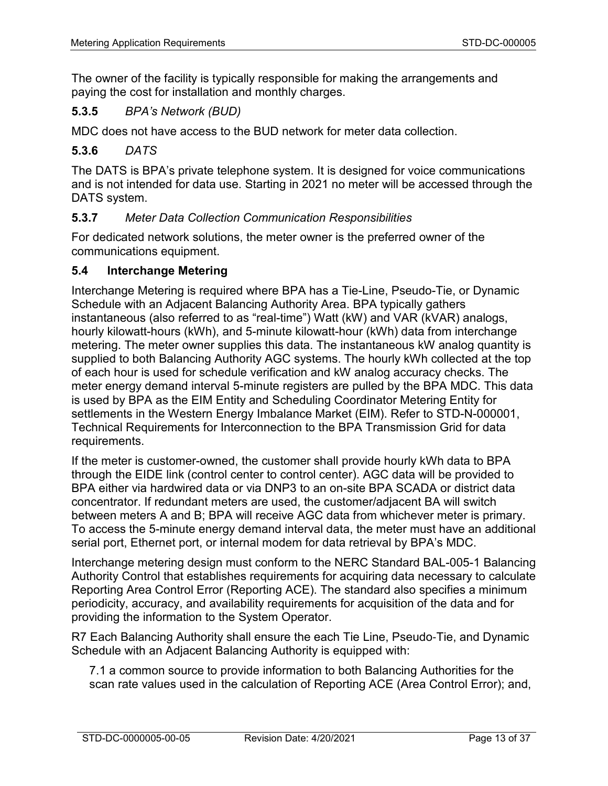The owner of the facility is typically responsible for making the arrangements and paying the cost for installation and monthly charges.

## **5.3.5** *BPA's Network (BUD)*

MDC does not have access to the BUD network for meter data collection.

### **5.3.6** *DATS*

The DATS is BPA's private telephone system. It is designed for voice communications and is not intended for data use. Starting in 2021 no meter will be accessed through the DATS system.

### **5.3.7** *Meter Data Collection Communication Responsibilities*

For dedicated network solutions, the meter owner is the preferred owner of the communications equipment.

#### **5.4 Interchange Metering**

Interchange Metering is required where BPA has a Tie-Line, Pseudo-Tie, or Dynamic Schedule with an Adjacent Balancing Authority Area. BPA typically gathers instantaneous (also referred to as "real-time") Watt (kW) and VAR (kVAR) analogs, hourly kilowatt-hours (kWh), and 5-minute kilowatt-hour (kWh) data from interchange metering. The meter owner supplies this data. The instantaneous kW analog quantity is supplied to both Balancing Authority AGC systems. The hourly kWh collected at the top of each hour is used for schedule verification and kW analog accuracy checks. The meter energy demand interval 5-minute registers are pulled by the BPA MDC. This data is used by BPA as the EIM Entity and Scheduling Coordinator Metering Entity for settlements in the Western Energy Imbalance Market (EIM). Refer to STD-N-000001, Technical Requirements for Interconnection to the BPA Transmission Grid for data requirements.

If the meter is customer-owned, the customer shall provide hourly kWh data to BPA through the EIDE link (control center to control center). AGC data will be provided to BPA either via hardwired data or via DNP3 to an on-site BPA SCADA or district data concentrator. If redundant meters are used, the customer/adjacent BA will switch between meters A and B; BPA will receive AGC data from whichever meter is primary. To access the 5-minute energy demand interval data, the meter must have an additional serial port, Ethernet port, or internal modem for data retrieval by BPA's MDC.

Interchange metering design must conform to the NERC Standard BAL-005-1 Balancing Authority Control that establishes requirements for acquiring data necessary to calculate Reporting Area Control Error (Reporting ACE). The standard also specifies a minimum periodicity, accuracy, and availability requirements for acquisition of the data and for providing the information to the System Operator.

R7 Each Balancing Authority shall ensure the each Tie Line, Pseudo‐Tie, and Dynamic Schedule with an Adjacent Balancing Authority is equipped with:

7.1 a common source to provide information to both Balancing Authorities for the scan rate values used in the calculation of Reporting ACE (Area Control Error); and,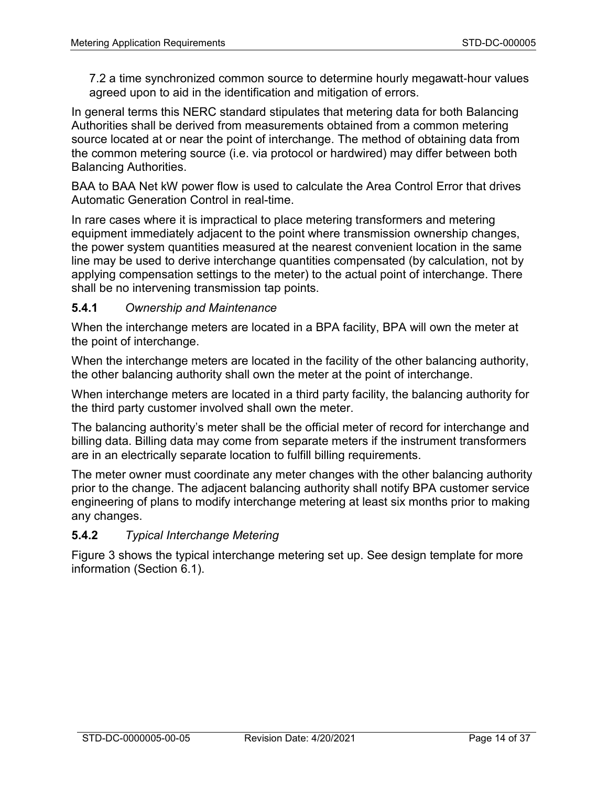7.2 a time synchronized common source to determine hourly megawatt‐hour values agreed upon to aid in the identification and mitigation of errors.

In general terms this NERC standard stipulates that metering data for both Balancing Authorities shall be derived from measurements obtained from a common metering source located at or near the point of interchange. The method of obtaining data from the common metering source (i.e. via protocol or hardwired) may differ between both Balancing Authorities.

BAA to BAA Net kW power flow is used to calculate the Area Control Error that drives Automatic Generation Control in real-time.

In rare cases where it is impractical to place metering transformers and metering equipment immediately adjacent to the point where transmission ownership changes, the power system quantities measured at the nearest convenient location in the same line may be used to derive interchange quantities compensated (by calculation, not by applying compensation settings to the meter) to the actual point of interchange. There shall be no intervening transmission tap points.

### **5.4.1** *Ownership and Maintenance*

When the interchange meters are located in a BPA facility, BPA will own the meter at the point of interchange.

When the interchange meters are located in the facility of the other balancing authority, the other balancing authority shall own the meter at the point of interchange.

When interchange meters are located in a third party facility, the balancing authority for the third party customer involved shall own the meter.

The balancing authority's meter shall be the official meter of record for interchange and billing data. Billing data may come from separate meters if the instrument transformers are in an electrically separate location to fulfill billing requirements.

The meter owner must coordinate any meter changes with the other balancing authority prior to the change. The adjacent balancing authority shall notify BPA customer service engineering of plans to modify interchange metering at least six months prior to making any changes.

## **5.4.2** *Typical Interchange Metering*

[Figure 3](#page-14-0) shows the typical interchange metering set up. See design template for more information (Section [6.1\)](#page-35-0).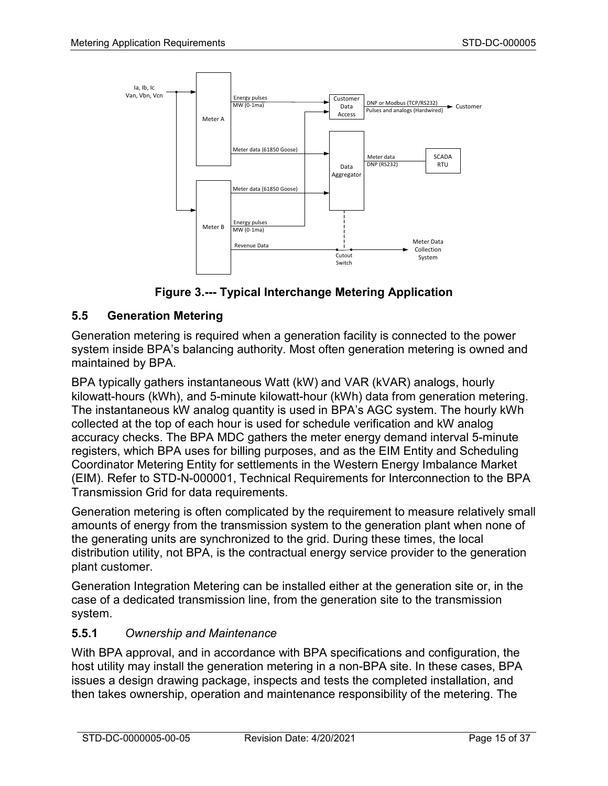

**Figure 3.--- Typical Interchange Metering Application**

## <span id="page-14-0"></span>**5.5 Generation Metering**

Generation metering is required when a generation facility is connected to the power system inside BPA's balancing authority. Most often generation metering is owned and maintained by BPA.

BPA typically gathers instantaneous Watt (kW) and VAR (kVAR) analogs, hourly kilowatt-hours (kWh), and 5-minute kilowatt-hour (kWh) data from generation metering. The instantaneous kW analog quantity is used in BPA's AGC system. The hourly kWh collected at the top of each hour is used for schedule verification and kW analog accuracy checks. The BPA MDC gathers the meter energy demand interval 5-minute registers, which BPA uses for billing purposes, and as the EIM Entity and Scheduling Coordinator Metering Entity for settlements in the Western Energy Imbalance Market (EIM). Refer to STD-N-000001, Technical Requirements for Interconnection to the BPA Transmission Grid for data requirements.

Generation metering is often complicated by the requirement to measure relatively small amounts of energy from the transmission system to the generation plant when none of the generating units are synchronized to the grid. During these times, the local distribution utility, not BPA, is the contractual energy service provider to the generation plant customer.

Generation Integration Metering can be installed either at the generation site or, in the case of a dedicated transmission line, from the generation site to the transmission system.

## **5.5.1** *Ownership and Maintenance*

With BPA approval, and in accordance with BPA specifications and configuration, the host utility may install the generation metering in a non-BPA site. In these cases, BPA issues a design drawing package, inspects and tests the completed installation, and then takes ownership, operation and maintenance responsibility of the metering. The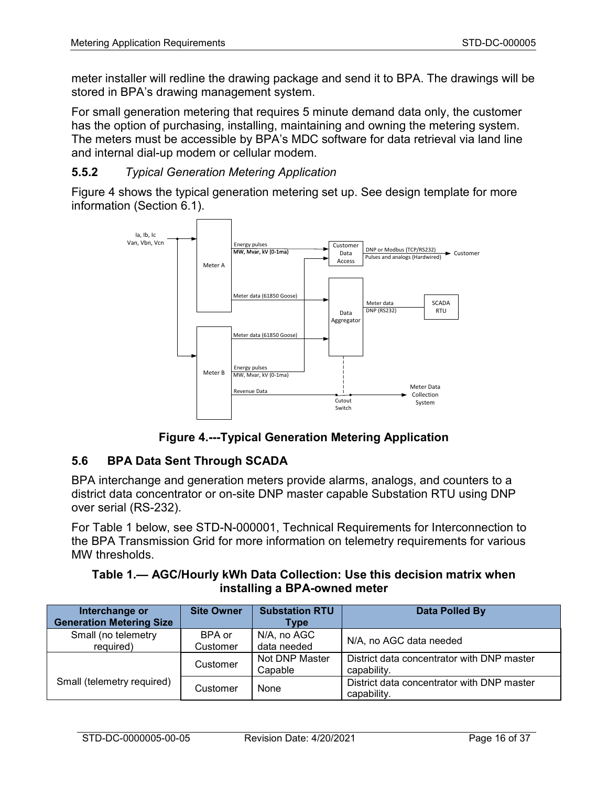meter installer will redline the drawing package and send it to BPA. The drawings will be stored in BPA's drawing management system.

For small generation metering that requires 5 minute demand data only, the customer has the option of purchasing, installing, maintaining and owning the metering system. The meters must be accessible by BPA's MDC software for data retrieval via land line and internal dial-up modem or cellular modem.

## **5.5.2** *Typical Generation Metering Application*

[Figure 4](#page-15-0) shows the typical generation metering set up. See design template for more information (Section [6.1\)](#page-35-0).



**Figure 4.---Typical Generation Metering Application**

## <span id="page-15-0"></span>**5.6 BPA Data Sent Through SCADA**

BPA interchange and generation meters provide alarms, analogs, and counters to a district data concentrator or on-site DNP master capable Substation RTU using DNP over serial (RS-232).

For [Table 1](#page-15-1) below, see STD-N-000001, Technical Requirements for Interconnection to the BPA Transmission Grid for more information on telemetry requirements for various MW thresholds.

## <span id="page-15-1"></span>**Table 1.— AGC/Hourly kWh Data Collection: Use this decision matrix when installing a BPA-owned meter**

| Interchange or                         | <b>Site Owner</b> | <b>Substation RTU</b> | <b>Data Polled By</b>                      |
|----------------------------------------|-------------------|-----------------------|--------------------------------------------|
| <b>Generation Metering Size</b>        |                   | Type                  |                                            |
| Small (no telemetry                    | BPA or            | N/A, no AGC           | N/A, no AGC data needed                    |
| required)                              | Customer          | data needed           |                                            |
|                                        | Customer          | Not DNP Master        | District data concentrator with DNP master |
|                                        |                   | Capable               | capability.                                |
| Small (telemetry required)<br>Customer |                   | None                  | District data concentrator with DNP master |
|                                        |                   |                       | capability.                                |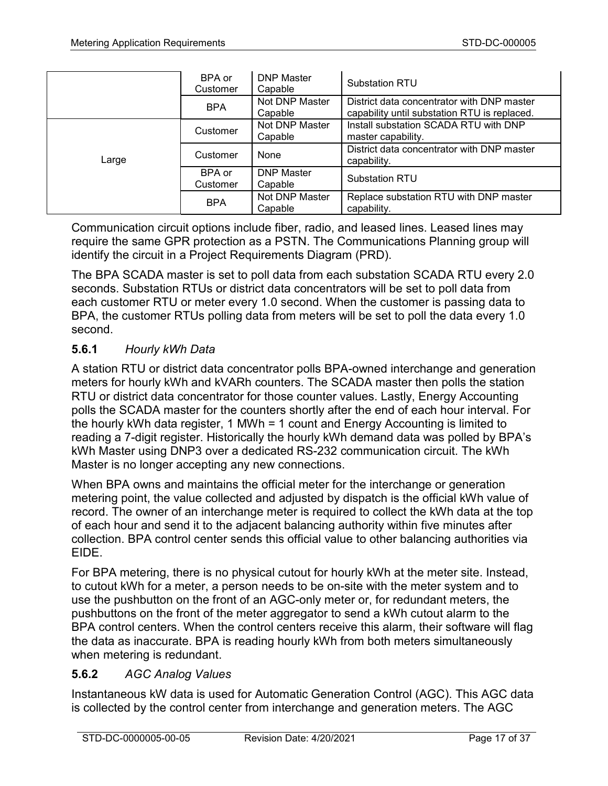|       | BPA or<br>Customer | <b>DNP Master</b><br>Capable | <b>Substation RTU</b>                                                                      |
|-------|--------------------|------------------------------|--------------------------------------------------------------------------------------------|
|       | <b>BPA</b>         | Not DNP Master<br>Capable    | District data concentrator with DNP master<br>capability until substation RTU is replaced. |
|       | Customer           | Not DNP Master<br>Capable    | Install substation SCADA RTU with DNP<br>master capability.                                |
| Large | Customer           | None                         | District data concentrator with DNP master<br>capability.                                  |
|       | BPA or<br>Customer | <b>DNP Master</b><br>Capable | <b>Substation RTU</b>                                                                      |
|       | <b>BPA</b>         | Not DNP Master<br>Capable    | Replace substation RTU with DNP master<br>capability.                                      |

Communication circuit options include fiber, radio, and leased lines. Leased lines may require the same GPR protection as a PSTN. The Communications Planning group will identify the circuit in a Project Requirements Diagram (PRD).

The BPA SCADA master is set to poll data from each substation SCADA RTU every 2.0 seconds. Substation RTUs or district data concentrators will be set to poll data from each customer RTU or meter every 1.0 second. When the customer is passing data to BPA, the customer RTUs polling data from meters will be set to poll the data every 1.0 second.

## **5.6.1** *Hourly kWh Data*

A station RTU or district data concentrator polls BPA-owned interchange and generation meters for hourly kWh and kVARh counters. The SCADA master then polls the station RTU or district data concentrator for those counter values. Lastly, Energy Accounting polls the SCADA master for the counters shortly after the end of each hour interval. For the hourly kWh data register, 1 MWh = 1 count and Energy Accounting is limited to reading a 7-digit register. Historically the hourly kWh demand data was polled by BPA's kWh Master using DNP3 over a dedicated RS-232 communication circuit. The kWh Master is no longer accepting any new connections.

When BPA owns and maintains the official meter for the interchange or generation metering point, the value collected and adjusted by dispatch is the official kWh value of record. The owner of an interchange meter is required to collect the kWh data at the top of each hour and send it to the adjacent balancing authority within five minutes after collection. BPA control center sends this official value to other balancing authorities via EIDE.

For BPA metering, there is no physical cutout for hourly kWh at the meter site. Instead, to cutout kWh for a meter, a person needs to be on-site with the meter system and to use the pushbutton on the front of an AGC-only meter or, for redundant meters, the pushbuttons on the front of the meter aggregator to send a kWh cutout alarm to the BPA control centers. When the control centers receive this alarm, their software will flag the data as inaccurate. BPA is reading hourly kWh from both meters simultaneously when metering is redundant.

## **5.6.2** *AGC Analog Values*

Instantaneous kW data is used for Automatic Generation Control (AGC). This AGC data is collected by the control center from interchange and generation meters. The AGC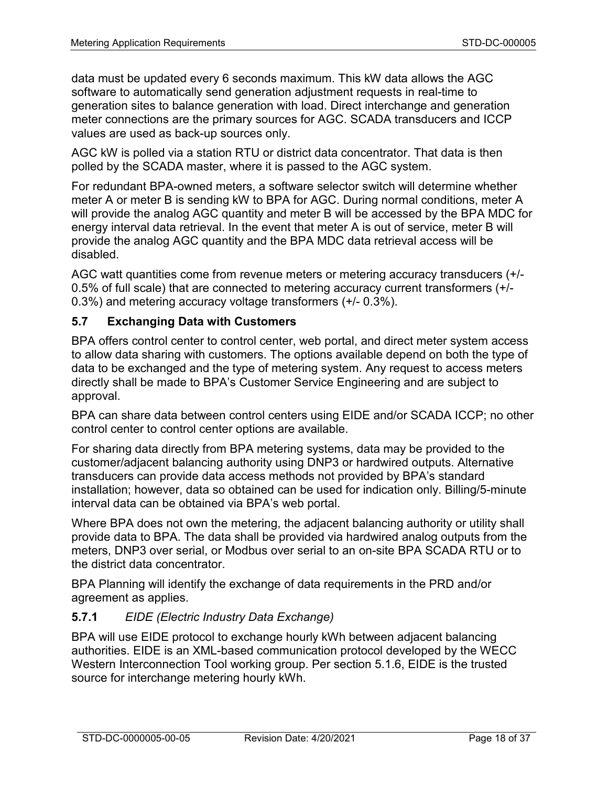data must be updated every 6 seconds maximum. This kW data allows the AGC software to automatically send generation adjustment requests in real-time to generation sites to balance generation with load. Direct interchange and generation meter connections are the primary sources for AGC. SCADA transducers and ICCP values are used as back-up sources only.

AGC kW is polled via a station RTU or district data concentrator. That data is then polled by the SCADA master, where it is passed to the AGC system.

For redundant BPA-owned meters, a software selector switch will determine whether meter A or meter B is sending kW to BPA for AGC. During normal conditions, meter A will provide the analog AGC quantity and meter B will be accessed by the BPA MDC for energy interval data retrieval. In the event that meter A is out of service, meter B will provide the analog AGC quantity and the BPA MDC data retrieval access will be disabled.

AGC watt quantities come from revenue meters or metering accuracy transducers (+/- 0.5% of full scale) that are connected to metering accuracy current transformers (+/- 0.3%) and metering accuracy voltage transformers (+/- 0.3%).

## **5.7 Exchanging Data with Customers**

BPA offers control center to control center, web portal, and direct meter system access to allow data sharing with customers. The options available depend on both the type of data to be exchanged and the type of metering system. Any request to access meters directly shall be made to BPA's Customer Service Engineering and are subject to approval.

BPA can share data between control centers using EIDE and/or SCADA ICCP; no other control center to control center options are available.

For sharing data directly from BPA metering systems, data may be provided to the customer/adjacent balancing authority using DNP3 or hardwired outputs. Alternative transducers can provide data access methods not provided by BPA's standard installation; however, data so obtained can be used for indication only. Billing/5-minute interval data can be obtained via BPA's web portal.

Where BPA does not own the metering, the adjacent balancing authority or utility shall provide data to BPA. The data shall be provided via hardwired analog outputs from the meters, DNP3 over serial, or Modbus over serial to an on-site BPA SCADA RTU or to the district data concentrator.

BPA Planning will identify the exchange of data requirements in the PRD and/or agreement as applies.

## **5.7.1** *EIDE (Electric Industry Data Exchange)*

BPA will use EIDE protocol to exchange hourly kWh between adjacent balancing authorities. EIDE is an XML-based communication protocol developed by the WECC Western Interconnection Tool working group. Per section [5.1.6,](#page-9-1) EIDE is the trusted source for interchange metering hourly kWh.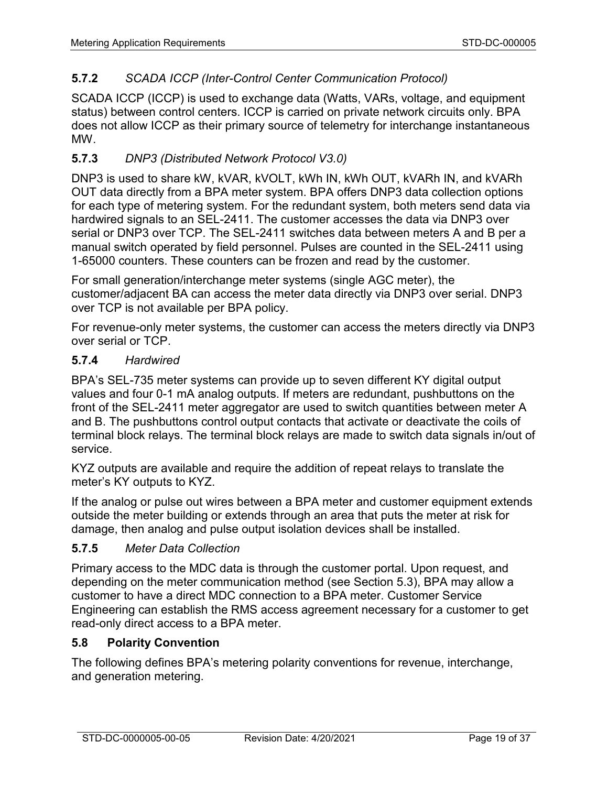# **5.7.2** *SCADA ICCP (Inter-Control Center Communication Protocol)*

SCADA ICCP (ICCP) is used to exchange data (Watts, VARs, voltage, and equipment status) between control centers. ICCP is carried on private network circuits only. BPA does not allow ICCP as their primary source of telemetry for interchange instantaneous MW.

# **5.7.3** *DNP3 (Distributed Network Protocol V3.0)*

DNP3 is used to share kW, kVAR, kVOLT, kWh IN, kWh OUT, kVARh IN, and kVARh OUT data directly from a BPA meter system. BPA offers DNP3 data collection options for each type of metering system. For the redundant system, both meters send data via hardwired signals to an SEL-2411. The customer accesses the data via DNP3 over serial or DNP3 over TCP. The SEL-2411 switches data between meters A and B per a manual switch operated by field personnel. Pulses are counted in the SEL-2411 using 1-65000 counters. These counters can be frozen and read by the customer.

For small generation/interchange meter systems (single AGC meter), the customer/adjacent BA can access the meter data directly via DNP3 over serial. DNP3 over TCP is not available per BPA policy.

For revenue-only meter systems, the customer can access the meters directly via DNP3 over serial or TCP.

### **5.7.4** *Hardwired*

BPA's SEL-735 meter systems can provide up to seven different KY digital output values and four 0-1 mA analog outputs. If meters are redundant, pushbuttons on the front of the SEL-2411 meter aggregator are used to switch quantities between meter A and B. The pushbuttons control output contacts that activate or deactivate the coils of terminal block relays. The terminal block relays are made to switch data signals in/out of service.

KYZ outputs are available and require the addition of repeat relays to translate the meter's KY outputs to KYZ.

If the analog or pulse out wires between a BPA meter and customer equipment extends outside the meter building or extends through an area that puts the meter at risk for damage, then analog and pulse output isolation devices shall be installed.

## <span id="page-18-0"></span>**5.7.5** *Meter Data Collection*

Primary access to the MDC data is through the customer portal. Upon request, and depending on the meter communication method (see Section 5.3), BPA may allow a customer to have a direct MDC connection to a BPA meter. Customer Service Engineering can establish the RMS access agreement necessary for a customer to get read-only direct access to a BPA meter.

## **5.8 Polarity Convention**

The following defines BPA's metering polarity conventions for revenue, interchange, and generation metering.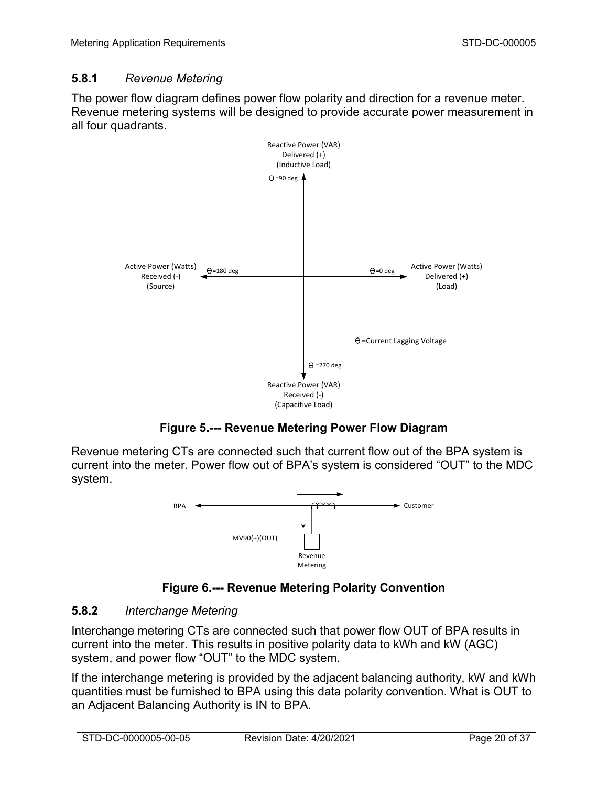## **5.8.1** *Revenue Metering*

The power flow diagram defines power flow polarity and direction for a revenue meter. Revenue metering systems will be designed to provide accurate power measurement in all four quadrants.



**Figure 5.--- Revenue Metering Power Flow Diagram**

<span id="page-19-0"></span>Revenue metering CTs are connected such that current flow out of the BPA system is current into the meter. Power flow out of BPA's system is considered "OUT" to the MDC system.



**Figure 6.--- Revenue Metering Polarity Convention**

## <span id="page-19-1"></span>**5.8.2** *Interchange Metering*

Interchange metering CTs are connected such that power flow OUT of BPA results in current into the meter. This results in positive polarity data to kWh and kW (AGC) system, and power flow "OUT" to the MDC system.

If the interchange metering is provided by the adjacent balancing authority, kW and kWh quantities must be furnished to BPA using this data polarity convention. What is OUT to an Adjacent Balancing Authority is IN to BPA.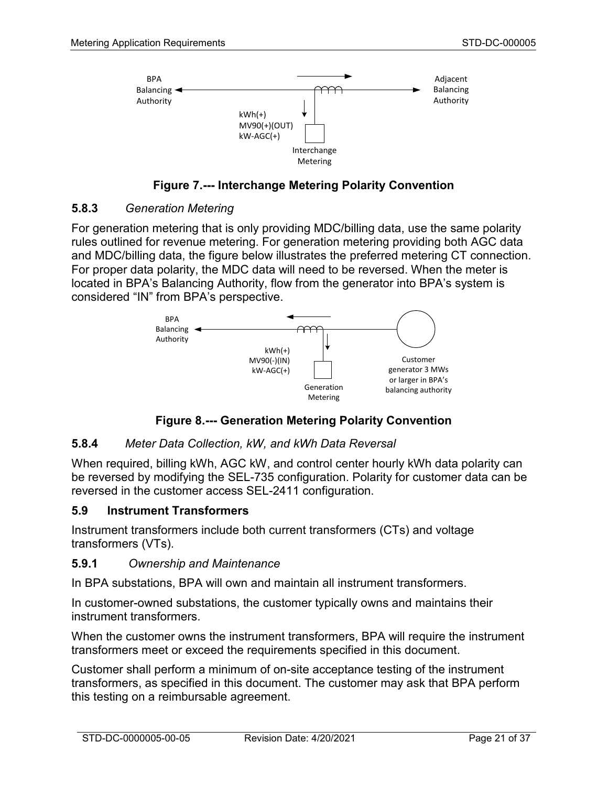

**Figure 7.--- Interchange Metering Polarity Convention**

#### <span id="page-20-0"></span>**5.8.3** *Generation Metering*

For generation metering that is only providing MDC/billing data, use the same polarity rules outlined for revenue metering. For generation metering providing both AGC data and MDC/billing data, the figure below illustrates the preferred metering CT connection. For proper data polarity, the MDC data will need to be reversed. When the meter is located in BPA's Balancing Authority, flow from the generator into BPA's system is considered "IN" from BPA's perspective.



**Figure 8.--- Generation Metering Polarity Convention**

## <span id="page-20-1"></span>**5.8.4** *Meter Data Collection, kW, and kWh Data Reversal*

When required, billing kWh, AGC kW, and control center hourly kWh data polarity can be reversed by modifying the SEL-735 configuration. Polarity for customer data can be reversed in the customer access SEL-2411 configuration.

#### **5.9 Instrument Transformers**

Instrument transformers include both current transformers (CTs) and voltage transformers (VTs).

#### **5.9.1** *Ownership and Maintenance*

In BPA substations, BPA will own and maintain all instrument transformers.

In customer-owned substations, the customer typically owns and maintains their instrument transformers.

When the customer owns the instrument transformers, BPA will require the instrument transformers meet or exceed the requirements specified in this document.

Customer shall perform a minimum of on-site acceptance testing of the instrument transformers, as specified in this document. The customer may ask that BPA perform this testing on a reimbursable agreement.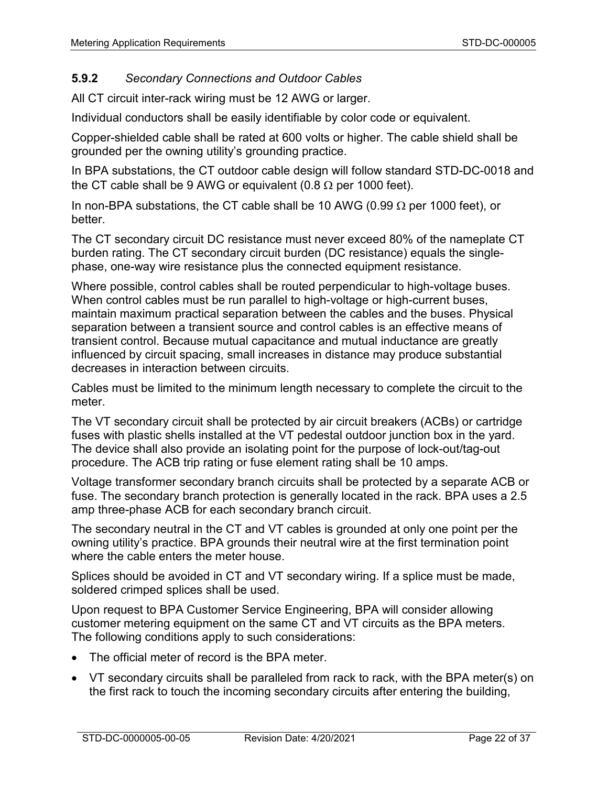# **5.9.2** *Secondary Connections and Outdoor Cables*

All CT circuit inter-rack wiring must be 12 AWG or larger.

Individual conductors shall be easily identifiable by color code or equivalent.

Copper-shielded cable shall be rated at 600 volts or higher. The cable shield shall be grounded per the owning utility's grounding practice.

In BPA substations, the CT outdoor cable design will follow standard STD-DC-0018 and the CT cable shall be 9 AWG or equivalent (0.8  $\Omega$  per 1000 feet).

In non-BPA substations, the CT cable shall be 10 AWG (0.99  $\Omega$  per 1000 feet), or better.

The CT secondary circuit DC resistance must never exceed 80% of the nameplate CT burden rating. The CT secondary circuit burden (DC resistance) equals the singlephase, one-way wire resistance plus the connected equipment resistance.

Where possible, control cables shall be routed perpendicular to high-voltage buses. When control cables must be run parallel to high-voltage or high-current buses, maintain maximum practical separation between the cables and the buses. Physical separation between a transient source and control cables is an effective means of transient control. Because mutual capacitance and mutual inductance are greatly influenced by circuit spacing, small increases in distance may produce substantial decreases in interaction between circuits.

Cables must be limited to the minimum length necessary to complete the circuit to the meter.

The VT secondary circuit shall be protected by air circuit breakers (ACBs) or cartridge fuses with plastic shells installed at the VT pedestal outdoor junction box in the yard. The device shall also provide an isolating point for the purpose of lock-out/tag-out procedure. The ACB trip rating or fuse element rating shall be 10 amps.

Voltage transformer secondary branch circuits shall be protected by a separate ACB or fuse. The secondary branch protection is generally located in the rack. BPA uses a 2.5 amp three-phase ACB for each secondary branch circuit.

The secondary neutral in the CT and VT cables is grounded at only one point per the owning utility's practice. BPA grounds their neutral wire at the first termination point where the cable enters the meter house.

Splices should be avoided in CT and VT secondary wiring. If a splice must be made, soldered crimped splices shall be used.

Upon request to BPA Customer Service Engineering, BPA will consider allowing customer metering equipment on the same CT and VT circuits as the BPA meters. The following conditions apply to such considerations:

- The official meter of record is the BPA meter.
- VT secondary circuits shall be paralleled from rack to rack, with the BPA meter(s) on the first rack to touch the incoming secondary circuits after entering the building,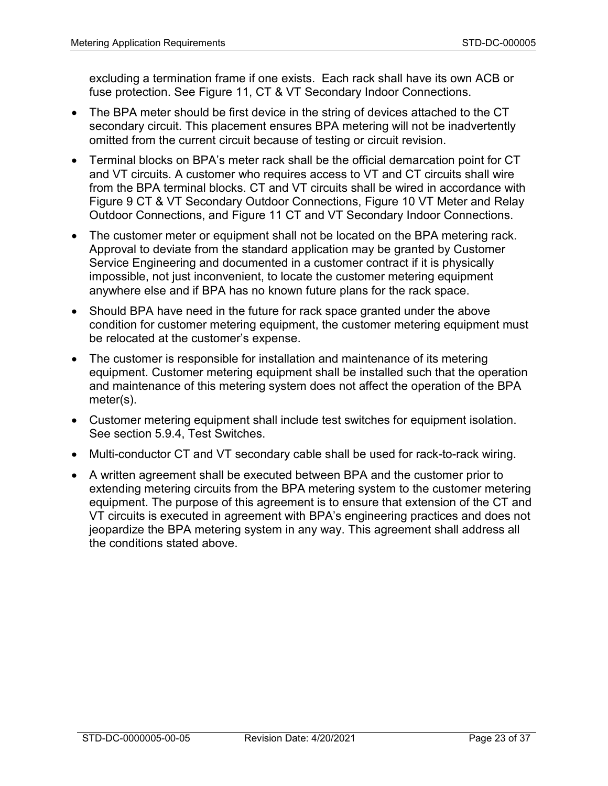excluding a termination frame if one exists. Each rack shall have its own ACB or fuse protection. See [Figure 11,](#page-24-0) CT & VT Secondary Indoor Connections.

- The BPA meter should be first device in the string of devices attached to the CT secondary circuit. This placement ensures BPA metering will not be inadvertently omitted from the current circuit because of testing or circuit revision.
- Terminal blocks on BPA's meter rack shall be the official demarcation point for CT and VT circuits. A customer who requires access to VT and CT circuits shall wire from the BPA terminal blocks. CT and VT circuits shall be wired in accordance with [Figure 9](#page-23-0) CT & VT Secondary Outdoor Connections, [Figure 10](#page-23-1) VT Meter and Relay Outdoor Connections, and [Figure 11](#page-24-0) CT and VT Secondary Indoor Connections.
- The customer meter or equipment shall not be located on the BPA metering rack. Approval to deviate from the standard application may be granted by Customer Service Engineering and documented in a customer contract if it is physically impossible, not just inconvenient, to locate the customer metering equipment anywhere else and if BPA has no known future plans for the rack space.
- Should BPA have need in the future for rack space granted under the above condition for customer metering equipment, the customer metering equipment must be relocated at the customer's expense.
- The customer is responsible for installation and maintenance of its metering equipment. Customer metering equipment shall be installed such that the operation and maintenance of this metering system does not affect the operation of the BPA meter(s).
- Customer metering equipment shall include test switches for equipment isolation. See section [5.9.4,](#page-24-1) Test Switches.
- Multi-conductor CT and VT secondary cable shall be used for rack-to-rack wiring.
- A written agreement shall be executed between BPA and the customer prior to extending metering circuits from the BPA metering system to the customer metering equipment. The purpose of this agreement is to ensure that extension of the CT and VT circuits is executed in agreement with BPA's engineering practices and does not jeopardize the BPA metering system in any way. This agreement shall address all the conditions stated above.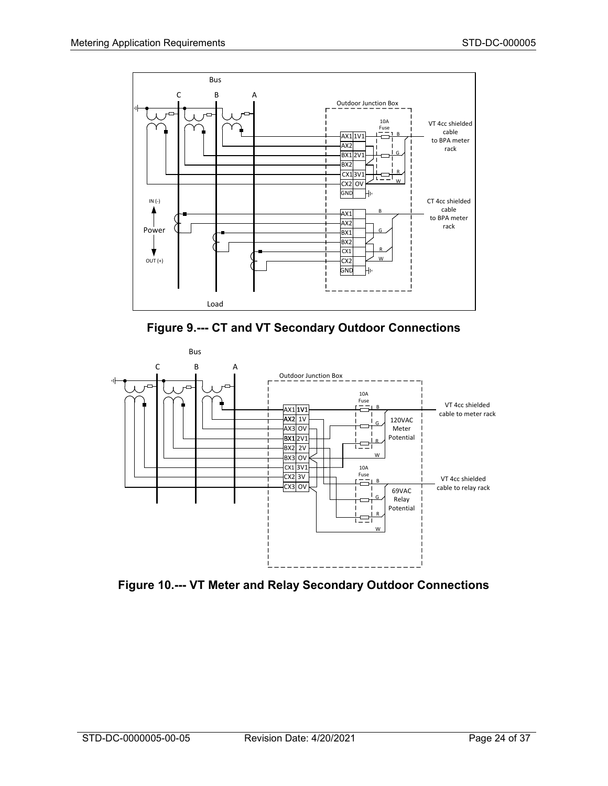



<span id="page-23-0"></span>

<span id="page-23-1"></span>**Figure 10.--- VT Meter and Relay Secondary Outdoor Connections**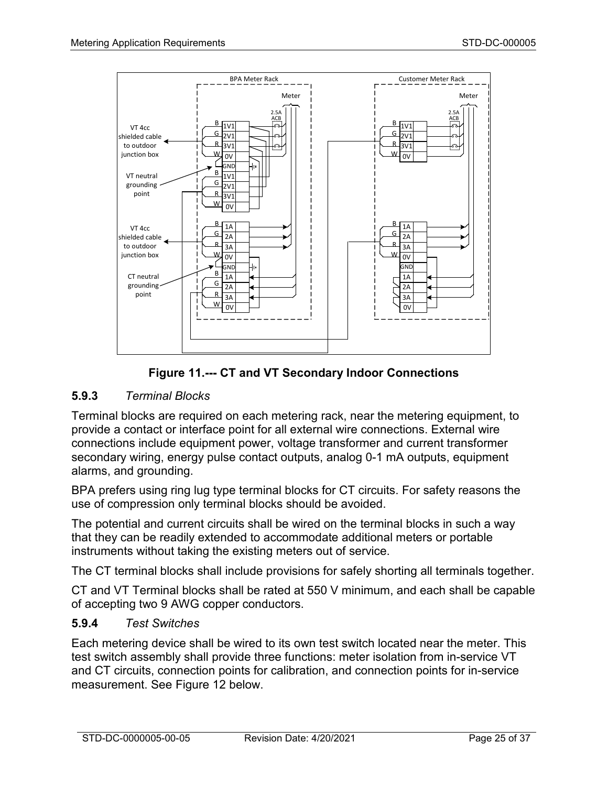

**Figure 11.--- CT and VT Secondary Indoor Connections**

# <span id="page-24-0"></span>**5.9.3** *Terminal Blocks*

Terminal blocks are required on each metering rack, near the metering equipment, to provide a contact or interface point for all external wire connections. External wire connections include equipment power, voltage transformer and current transformer secondary wiring, energy pulse contact outputs, analog 0-1 mA outputs, equipment alarms, and grounding.

BPA prefers using ring lug type terminal blocks for CT circuits. For safety reasons the use of compression only terminal blocks should be avoided.

The potential and current circuits shall be wired on the terminal blocks in such a way that they can be readily extended to accommodate additional meters or portable instruments without taking the existing meters out of service.

The CT terminal blocks shall include provisions for safely shorting all terminals together.

CT and VT Terminal blocks shall be rated at 550 V minimum, and each shall be capable of accepting two 9 AWG copper conductors.

## <span id="page-24-1"></span>**5.9.4** *Test Switches*

Each metering device shall be wired to its own test switch located near the meter. This test switch assembly shall provide three functions: meter isolation from in-service VT and CT circuits, connection points for calibration, and connection points for in-service measurement. See [Figure 12](#page-25-0) below.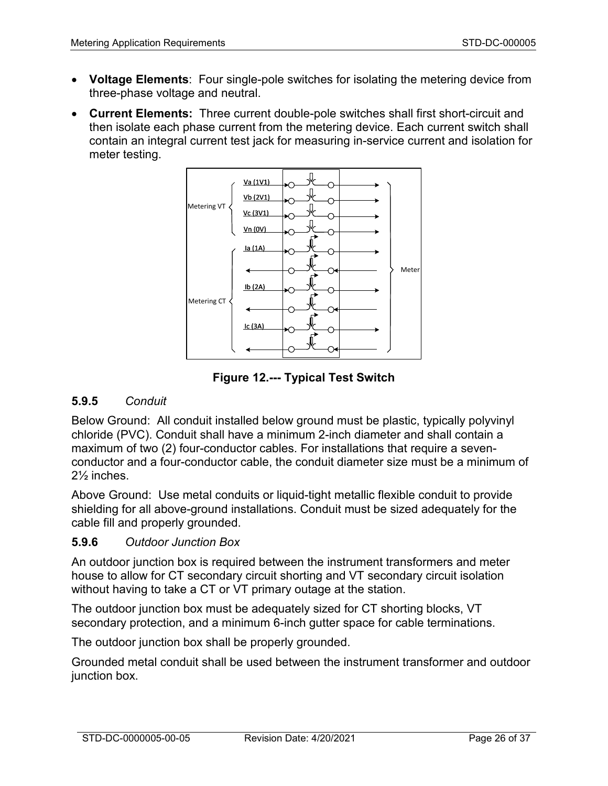- **Voltage Elements**: Four single-pole switches for isolating the metering device from three-phase voltage and neutral.
- **Current Elements:** Three current double-pole switches shall first short-circuit and then isolate each phase current from the metering device. Each current switch shall contain an integral current test jack for measuring in-service current and isolation for meter testing.



**Figure 12.--- Typical Test Switch**

## <span id="page-25-0"></span>**5.9.5** *Conduit*

Below Ground: All conduit installed below ground must be plastic, typically polyvinyl chloride (PVC). Conduit shall have a minimum 2-inch diameter and shall contain a maximum of two (2) four-conductor cables. For installations that require a sevenconductor and a four-conductor cable, the conduit diameter size must be a minimum of 2½ inches.

Above Ground: Use metal conduits or liquid-tight metallic flexible conduit to provide shielding for all above-ground installations. Conduit must be sized adequately for the cable fill and properly grounded.

#### **5.9.6** *Outdoor Junction Box*

An outdoor junction box is required between the instrument transformers and meter house to allow for CT secondary circuit shorting and VT secondary circuit isolation without having to take a CT or VT primary outage at the station.

The outdoor junction box must be adequately sized for CT shorting blocks, VT secondary protection, and a minimum 6-inch gutter space for cable terminations.

The outdoor junction box shall be properly grounded.

Grounded metal conduit shall be used between the instrument transformer and outdoor junction box.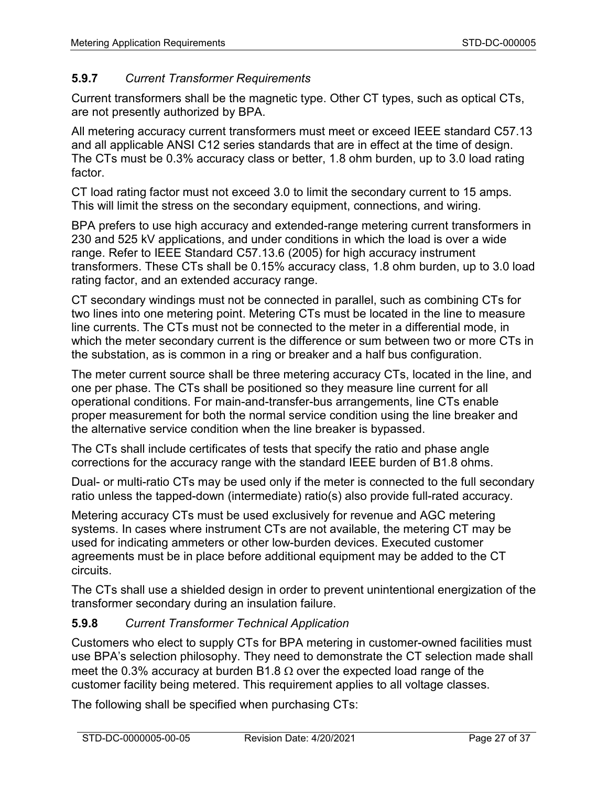# **5.9.7** *Current Transformer Requirements*

Current transformers shall be the magnetic type. Other CT types, such as optical CTs, are not presently authorized by BPA.

All metering accuracy current transformers must meet or exceed IEEE standard C57.13 and all applicable ANSI C12 series standards that are in effect at the time of design. The CTs must be 0.3% accuracy class or better, 1.8 ohm burden, up to 3.0 load rating factor.

CT load rating factor must not exceed 3.0 to limit the secondary current to 15 amps. This will limit the stress on the secondary equipment, connections, and wiring.

BPA prefers to use high accuracy and extended-range metering current transformers in 230 and 525 kV applications, and under conditions in which the load is over a wide range. Refer to IEEE Standard C57.13.6 (2005) for high accuracy instrument transformers. These CTs shall be 0.15% accuracy class, 1.8 ohm burden, up to 3.0 load rating factor, and an extended accuracy range.

CT secondary windings must not be connected in parallel, such as combining CTs for two lines into one metering point. Metering CTs must be located in the line to measure line currents. The CTs must not be connected to the meter in a differential mode, in which the meter secondary current is the difference or sum between two or more CTs in the substation, as is common in a ring or breaker and a half bus configuration.

The meter current source shall be three metering accuracy CTs, located in the line, and one per phase. The CTs shall be positioned so they measure line current for all operational conditions. For main-and-transfer-bus arrangements, line CTs enable proper measurement for both the normal service condition using the line breaker and the alternative service condition when the line breaker is bypassed.

The CTs shall include certificates of tests that specify the ratio and phase angle corrections for the accuracy range with the standard IEEE burden of B1.8 ohms.

Dual- or multi-ratio CTs may be used only if the meter is connected to the full secondary ratio unless the tapped-down (intermediate) ratio(s) also provide full-rated accuracy.

Metering accuracy CTs must be used exclusively for revenue and AGC metering systems. In cases where instrument CTs are not available, the metering CT may be used for indicating ammeters or other low-burden devices. Executed customer agreements must be in place before additional equipment may be added to the CT circuits.

The CTs shall use a shielded design in order to prevent unintentional energization of the transformer secondary during an insulation failure.

# **5.9.8** *Current Transformer Technical Application*

Customers who elect to supply CTs for BPA metering in customer-owned facilities must use BPA's selection philosophy. They need to demonstrate the CT selection made shall meet the 0.3% accuracy at burden B1.8  $\Omega$  over the expected load range of the customer facility being metered. This requirement applies to all voltage classes.

The following shall be specified when purchasing CTs: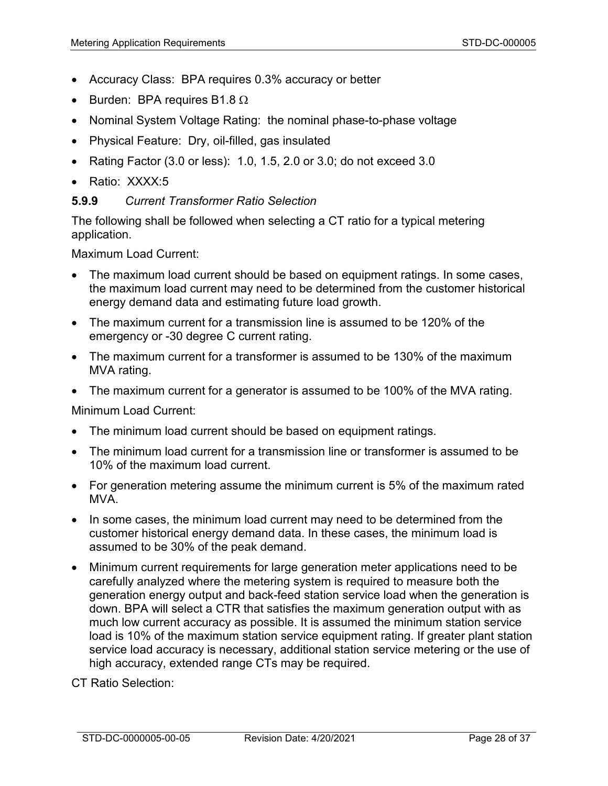- Accuracy Class: BPA requires 0.3% accuracy or better
- Burden: BPA requires B1.8  $\Omega$
- Nominal System Voltage Rating: the nominal phase-to-phase voltage
- Physical Feature: Dry, oil-filled, gas insulated
- Rating Factor  $(3.0 \text{ or } \text{less})$ : 1.0, 1.5, 2.0 or 3.0; do not exceed 3.0
- Ratio: XXXX:5

#### **5.9.9** *Current Transformer Ratio Selection*

The following shall be followed when selecting a CT ratio for a typical metering application.

Maximum Load Current:

- The maximum load current should be based on equipment ratings. In some cases, the maximum load current may need to be determined from the customer historical energy demand data and estimating future load growth.
- The maximum current for a transmission line is assumed to be 120% of the emergency or -30 degree C current rating.
- The maximum current for a transformer is assumed to be 130% of the maximum MVA rating.
- The maximum current for a generator is assumed to be 100% of the MVA rating.

Minimum Load Current:

- The minimum load current should be based on equipment ratings.
- The minimum load current for a transmission line or transformer is assumed to be 10% of the maximum load current.
- For generation metering assume the minimum current is 5% of the maximum rated MVA.
- In some cases, the minimum load current may need to be determined from the customer historical energy demand data. In these cases, the minimum load is assumed to be 30% of the peak demand.
- Minimum current requirements for large generation meter applications need to be carefully analyzed where the metering system is required to measure both the generation energy output and back-feed station service load when the generation is down. BPA will select a CTR that satisfies the maximum generation output with as much low current accuracy as possible. It is assumed the minimum station service load is 10% of the maximum station service equipment rating. If greater plant station service load accuracy is necessary, additional station service metering or the use of high accuracy, extended range CTs may be required.

CT Ratio Selection: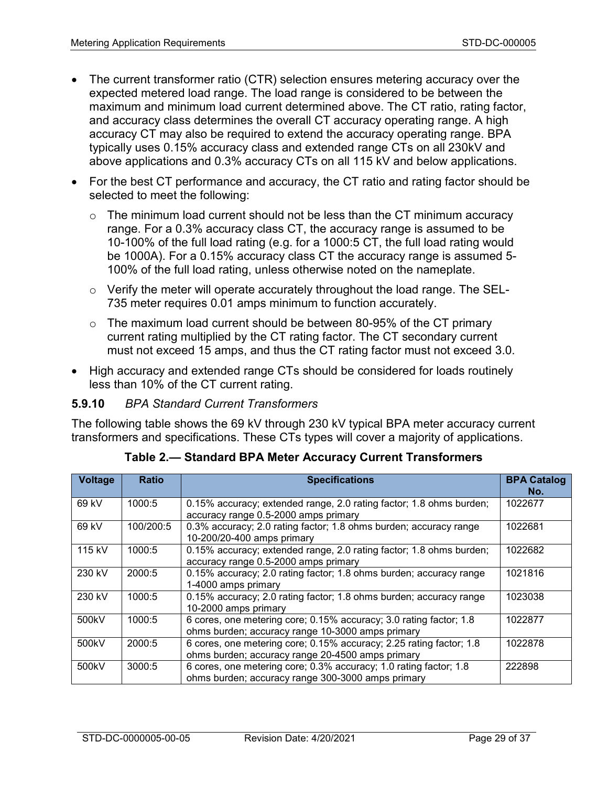- The current transformer ratio (CTR) selection ensures metering accuracy over the expected metered load range. The load range is considered to be between the maximum and minimum load current determined above. The CT ratio, rating factor, and accuracy class determines the overall CT accuracy operating range. A high accuracy CT may also be required to extend the accuracy operating range. BPA typically uses 0.15% accuracy class and extended range CTs on all 230kV and above applications and 0.3% accuracy CTs on all 115 kV and below applications.
- For the best CT performance and accuracy, the CT ratio and rating factor should be selected to meet the following:
	- $\circ$  The minimum load current should not be less than the CT minimum accuracy range. For a 0.3% accuracy class CT, the accuracy range is assumed to be 10-100% of the full load rating (e.g. for a 1000:5 CT, the full load rating would be 1000A). For a 0.15% accuracy class CT the accuracy range is assumed 5- 100% of the full load rating, unless otherwise noted on the nameplate.
	- o Verify the meter will operate accurately throughout the load range. The SEL-735 meter requires 0.01 amps minimum to function accurately.
	- $\circ$  The maximum load current should be between 80-95% of the CT primary current rating multiplied by the CT rating factor. The CT secondary current must not exceed 15 amps, and thus the CT rating factor must not exceed 3.0.
- High accuracy and extended range CTs should be considered for loads routinely less than 10% of the CT current rating.

#### **5.9.10** *BPA Standard Current Transformers*

The following table shows the 69 kV through 230 kV typical BPA meter accuracy current transformers and specifications. These CTs types will cover a majority of applications.

| <b>Voltage</b> | <b>Ratio</b> | <b>Specifications</b>                                                                                                   | <b>BPA Catalog</b><br>No. |
|----------------|--------------|-------------------------------------------------------------------------------------------------------------------------|---------------------------|
| 69 kV          | 1000:5       | 0.15% accuracy; extended range, 2.0 rating factor; 1.8 ohms burden;<br>accuracy range 0.5-2000 amps primary             | 1022677                   |
| 69 kV          | 100/200:5    | 0.3% accuracy; 2.0 rating factor; 1.8 ohms burden; accuracy range<br>10-200/20-400 amps primary                         | 1022681                   |
| 115 kV         | 1000:5       | 0.15% accuracy; extended range, 2.0 rating factor; 1.8 ohms burden;<br>accuracy range 0.5-2000 amps primary             | 1022682                   |
| 230 kV         | 2000:5       | 0.15% accuracy; 2.0 rating factor; 1.8 ohms burden; accuracy range<br>1-4000 amps primary                               | 1021816                   |
| 230 kV         | 1000:5       | 0.15% accuracy; 2.0 rating factor; 1.8 ohms burden; accuracy range<br>10-2000 amps primary                              | 1023038                   |
| 500kV          | 1000:5       | 6 cores, one metering core; 0.15% accuracy; 3.0 rating factor; 1.8<br>ohms burden; accuracy range 10-3000 amps primary  | 1022877                   |
| 500kV          | 2000:5       | 6 cores, one metering core; 0.15% accuracy; 2.25 rating factor; 1.8<br>ohms burden; accuracy range 20-4500 amps primary | 1022878                   |
| 500kV          | 3000:5       | 6 cores, one metering core; 0.3% accuracy; 1.0 rating factor; 1.8<br>ohms burden; accuracy range 300-3000 amps primary  | 222898                    |

**Table 2.— Standard BPA Meter Accuracy Current Transformers**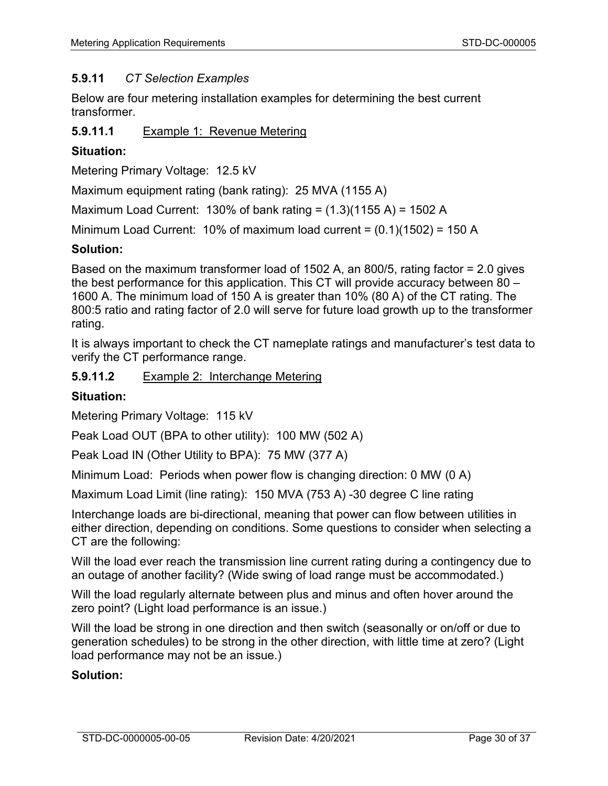#### **5.9.11** *CT Selection Examples*

Below are four metering installation examples for determining the best current transformer.

**5.9.11.1** Example 1: Revenue Metering

#### **Situation:**

Metering Primary Voltage: 12.5 kV

Maximum equipment rating (bank rating): 25 MVA (1155 A)

Maximum Load Current: 130% of bank rating =  $(1.3)(1155 A)$  = 1502 A

Minimum Load Current: 10% of maximum load current = (0.1)(1502) = 150 A

#### **Solution:**

Based on the maximum transformer load of 1502 A, an 800/5, rating factor = 2.0 gives the best performance for this application. This CT will provide accuracy between 80 – 1600 A. The minimum load of 150 A is greater than 10% (80 A) of the CT rating. The 800:5 ratio and rating factor of 2.0 will serve for future load growth up to the transformer rating.

It is always important to check the CT nameplate ratings and manufacturer's test data to verify the CT performance range.

**5.9.11.2** Example 2: Interchange Metering

#### **Situation:**

Metering Primary Voltage: 115 kV

Peak Load OUT (BPA to other utility): 100 MW (502 A)

Peak Load IN (Other Utility to BPA): 75 MW (377 A)

Minimum Load: Periods when power flow is changing direction: 0 MW (0 A)

Maximum Load Limit (line rating): 150 MVA (753 A) -30 degree C line rating

Interchange loads are bi-directional, meaning that power can flow between utilities in either direction, depending on conditions. Some questions to consider when selecting a CT are the following:

Will the load ever reach the transmission line current rating during a contingency due to an outage of another facility? (Wide swing of load range must be accommodated.)

Will the load regularly alternate between plus and minus and often hover around the zero point? (Light load performance is an issue.)

Will the load be strong in one direction and then switch (seasonally or on/off or due to generation schedules) to be strong in the other direction, with little time at zero? (Light load performance may not be an issue.)

#### **Solution:**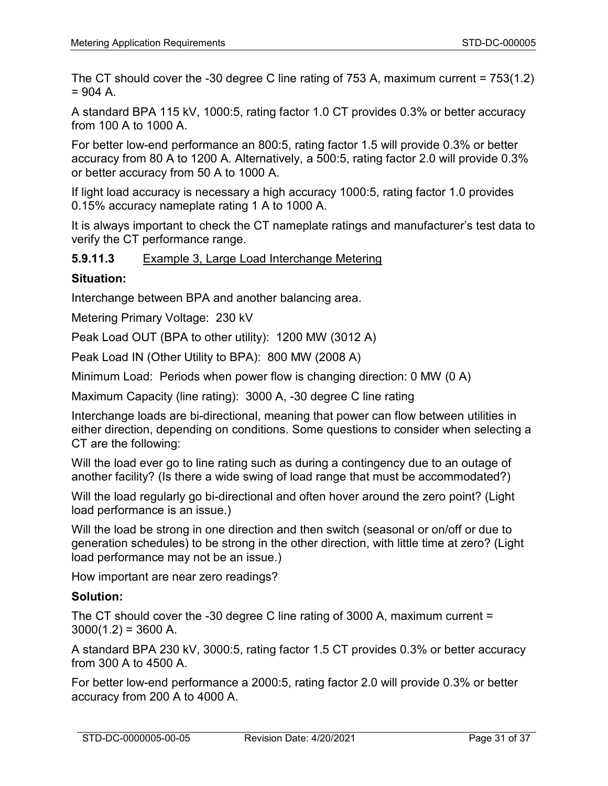The CT should cover the -30 degree C line rating of 753 A, maximum current = 753(1.2)  $= 904 A$ 

A standard BPA 115 kV, 1000:5, rating factor 1.0 CT provides 0.3% or better accuracy from 100 A to 1000 A.

For better low-end performance an 800:5, rating factor 1.5 will provide 0.3% or better accuracy from 80 A to 1200 A. Alternatively, a 500:5, rating factor 2.0 will provide 0.3% or better accuracy from 50 A to 1000 A.

If light load accuracy is necessary a high accuracy 1000:5, rating factor 1.0 provides 0.15% accuracy nameplate rating 1 A to 1000 A.

It is always important to check the CT nameplate ratings and manufacturer's test data to verify the CT performance range.

### **5.9.11.3** Example 3, Large Load Interchange Metering

### **Situation:**

Interchange between BPA and another balancing area.

Metering Primary Voltage: 230 kV

Peak Load OUT (BPA to other utility): 1200 MW (3012 A)

Peak Load IN (Other Utility to BPA): 800 MW (2008 A)

Minimum Load: Periods when power flow is changing direction: 0 MW (0 A)

Maximum Capacity (line rating): 3000 A, -30 degree C line rating

Interchange loads are bi-directional, meaning that power can flow between utilities in either direction, depending on conditions. Some questions to consider when selecting a CT are the following:

Will the load ever go to line rating such as during a contingency due to an outage of another facility? (Is there a wide swing of load range that must be accommodated?)

Will the load regularly go bi-directional and often hover around the zero point? (Light load performance is an issue.)

Will the load be strong in one direction and then switch (seasonal or on/off or due to generation schedules) to be strong in the other direction, with little time at zero? (Light load performance may not be an issue.)

How important are near zero readings?

#### **Solution:**

The CT should cover the -30 degree C line rating of 3000 A, maximum current =  $3000(1.2) = 3600$  A.

A standard BPA 230 kV, 3000:5, rating factor 1.5 CT provides 0.3% or better accuracy from 300 A to 4500 A.

For better low-end performance a 2000:5, rating factor 2.0 will provide 0.3% or better accuracy from 200 A to 4000 A.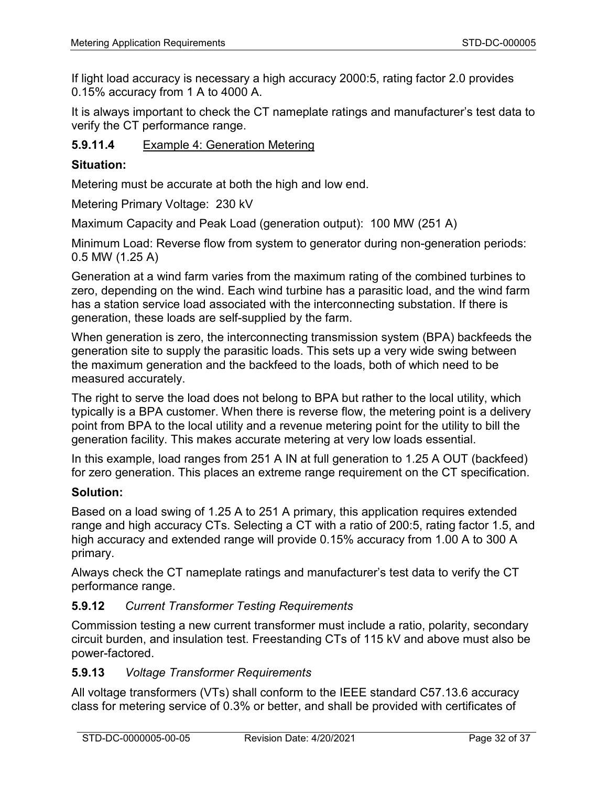If light load accuracy is necessary a high accuracy 2000:5, rating factor 2.0 provides 0.15% accuracy from 1 A to 4000 A.

It is always important to check the CT nameplate ratings and manufacturer's test data to verify the CT performance range.

### **5.9.11.4** Example 4: Generation Metering

#### **Situation:**

Metering must be accurate at both the high and low end.

Metering Primary Voltage: 230 kV

Maximum Capacity and Peak Load (generation output): 100 MW (251 A)

Minimum Load: Reverse flow from system to generator during non-generation periods: 0.5 MW (1.25 A)

Generation at a wind farm varies from the maximum rating of the combined turbines to zero, depending on the wind. Each wind turbine has a parasitic load, and the wind farm has a station service load associated with the interconnecting substation. If there is generation, these loads are self-supplied by the farm.

When generation is zero, the interconnecting transmission system (BPA) backfeeds the generation site to supply the parasitic loads. This sets up a very wide swing between the maximum generation and the backfeed to the loads, both of which need to be measured accurately.

The right to serve the load does not belong to BPA but rather to the local utility, which typically is a BPA customer. When there is reverse flow, the metering point is a delivery point from BPA to the local utility and a revenue metering point for the utility to bill the generation facility. This makes accurate metering at very low loads essential.

In this example, load ranges from 251 A IN at full generation to 1.25 A OUT (backfeed) for zero generation. This places an extreme range requirement on the CT specification.

#### **Solution:**

Based on a load swing of 1.25 A to 251 A primary, this application requires extended range and high accuracy CTs. Selecting a CT with a ratio of 200:5, rating factor 1.5, and high accuracy and extended range will provide 0.15% accuracy from 1.00 A to 300 A primary.

Always check the CT nameplate ratings and manufacturer's test data to verify the CT performance range.

#### **5.9.12** *Current Transformer Testing Requirements*

Commission testing a new current transformer must include a ratio, polarity, secondary circuit burden, and insulation test. Freestanding CTs of 115 kV and above must also be power-factored.

### **5.9.13** *Voltage Transformer Requirements*

All voltage transformers (VTs) shall conform to the IEEE standard C57.13.6 accuracy class for metering service of 0.3% or better, and shall be provided with certificates of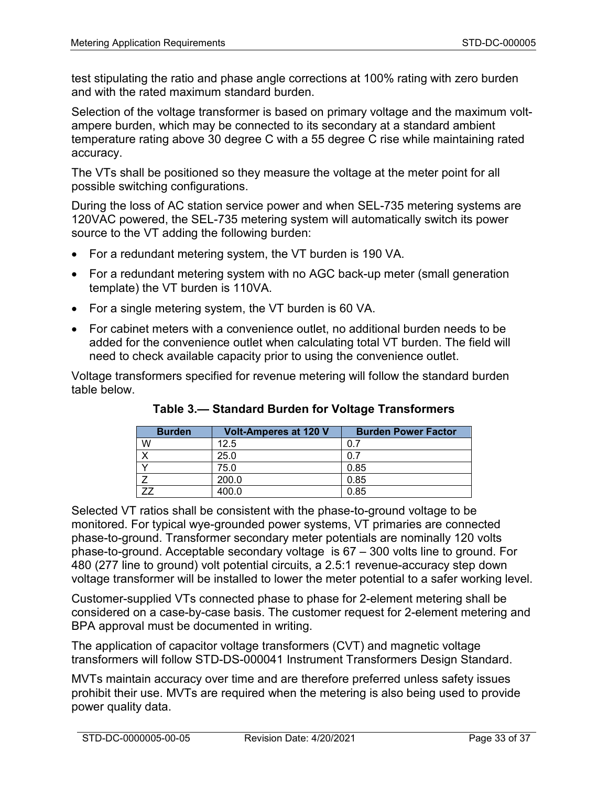test stipulating the ratio and phase angle corrections at 100% rating with zero burden and with the rated maximum standard burden.

Selection of the voltage transformer is based on primary voltage and the maximum voltampere burden, which may be connected to its secondary at a standard ambient temperature rating above 30 degree C with a 55 degree C rise while maintaining rated accuracy.

The VTs shall be positioned so they measure the voltage at the meter point for all possible switching configurations.

During the loss of AC station service power and when SEL-735 metering systems are 120VAC powered, the SEL-735 metering system will automatically switch its power source to the VT adding the following burden:

- For a redundant metering system, the VT burden is 190 VA.
- For a redundant metering system with no AGC back-up meter (small generation template) the VT burden is 110VA.
- For a single metering system, the VT burden is 60 VA.
- For cabinet meters with a convenience outlet, no additional burden needs to be added for the convenience outlet when calculating total VT burden. The field will need to check available capacity prior to using the convenience outlet.

Voltage transformers specified for revenue metering will follow the standard burden table below.

| <b>Burden</b> | <b>Volt-Amperes at 120 V</b> | <b>Burden Power Factor</b> |
|---------------|------------------------------|----------------------------|
| W             | 12.5                         | 0.7                        |
|               | 25.0                         |                            |
|               | 75.0                         | 0.85                       |
|               | 200.0                        | 0.85                       |
|               | 400.0                        | 0.85                       |

**Table 3.— Standard Burden for Voltage Transformers**

Selected VT ratios shall be consistent with the phase-to-ground voltage to be monitored. For typical wye-grounded power systems, VT primaries are connected phase-to-ground. Transformer secondary meter potentials are nominally 120 volts phase-to-ground. Acceptable secondary voltage is 67 – 300 volts line to ground. For 480 (277 line to ground) volt potential circuits, a 2.5:1 revenue-accuracy step down voltage transformer will be installed to lower the meter potential to a safer working level.

Customer-supplied VTs connected phase to phase for 2-element metering shall be considered on a case-by-case basis. The customer request for 2-element metering and BPA approval must be documented in writing.

The application of capacitor voltage transformers (CVT) and magnetic voltage transformers will follow STD-DS-000041 Instrument Transformers Design Standard.

MVTs maintain accuracy over time and are therefore preferred unless safety issues prohibit their use. MVTs are required when the metering is also being used to provide power quality data.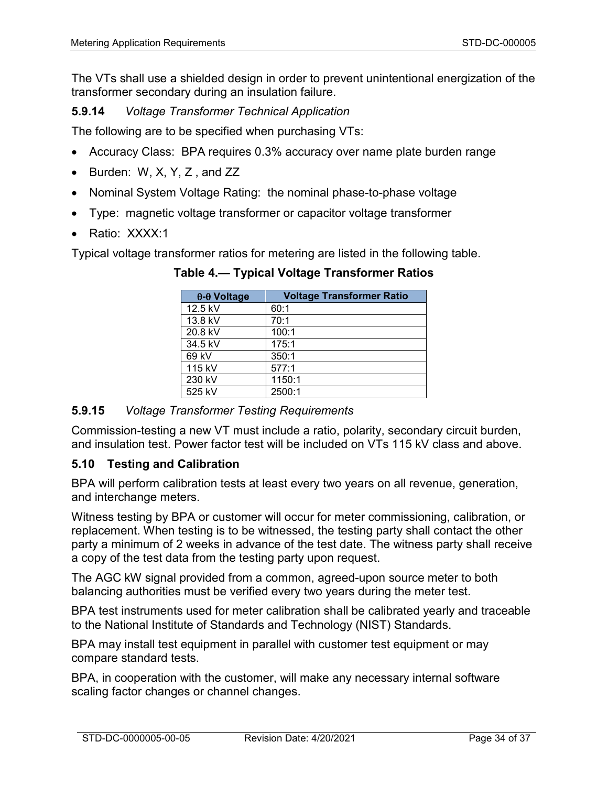The VTs shall use a shielded design in order to prevent unintentional energization of the transformer secondary during an insulation failure.

# **5.9.14** *Voltage Transformer Technical Application*

The following are to be specified when purchasing VTs:

- Accuracy Class: BPA requires 0.3% accuracy over name plate burden range
- Burden: W, X, Y, Z, and ZZ
- Nominal System Voltage Rating: the nominal phase-to-phase voltage
- Type: magnetic voltage transformer or capacitor voltage transformer
- Ratio: XXXX:1

Typical voltage transformer ratios for metering are listed in the following table.

| $\theta$ - $\theta$ Voltage | <b>Voltage Transformer Ratio</b> |
|-----------------------------|----------------------------------|
| 12.5 kV                     | 60:1                             |
| 13.8 kV                     | 70:1                             |
| 20.8 kV                     | 100:1                            |
| 34.5 kV                     | 175:1                            |
| 69 kV                       | 350:1                            |
| 115 kV                      | 577:1                            |
| 230 kV                      | 1150:1                           |
| 525 kV                      | 2500:1                           |

**Table 4.— Typical Voltage Transformer Ratios**

#### **5.9.15** *Voltage Transformer Testing Requirements*

Commission-testing a new VT must include a ratio, polarity, secondary circuit burden, and insulation test. Power factor test will be included on VTs 115 kV class and above.

## **5.10 Testing and Calibration**

BPA will perform calibration tests at least every two years on all revenue, generation, and interchange meters.

Witness testing by BPA or customer will occur for meter commissioning, calibration, or replacement. When testing is to be witnessed, the testing party shall contact the other party a minimum of 2 weeks in advance of the test date. The witness party shall receive a copy of the test data from the testing party upon request.

The AGC kW signal provided from a common, agreed-upon source meter to both balancing authorities must be verified every two years during the meter test.

BPA test instruments used for meter calibration shall be calibrated yearly and traceable to the National Institute of Standards and Technology (NIST) Standards.

BPA may install test equipment in parallel with customer test equipment or may compare standard tests.

BPA, in cooperation with the customer, will make any necessary internal software scaling factor changes or channel changes.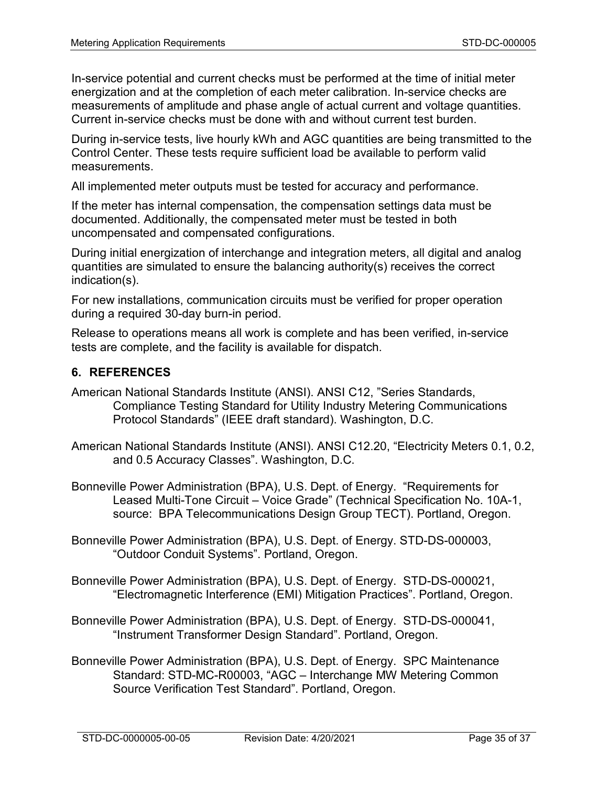In-service potential and current checks must be performed at the time of initial meter energization and at the completion of each meter calibration. In-service checks are measurements of amplitude and phase angle of actual current and voltage quantities. Current in-service checks must be done with and without current test burden.

During in-service tests, live hourly kWh and AGC quantities are being transmitted to the Control Center. These tests require sufficient load be available to perform valid measurements.

All implemented meter outputs must be tested for accuracy and performance.

If the meter has internal compensation, the compensation settings data must be documented. Additionally, the compensated meter must be tested in both uncompensated and compensated configurations.

During initial energization of interchange and integration meters, all digital and analog quantities are simulated to ensure the balancing authority(s) receives the correct indication(s).

For new installations, communication circuits must be verified for proper operation during a required 30-day burn-in period.

Release to operations means all work is complete and has been verified, in-service tests are complete, and the facility is available for dispatch.

#### **6. REFERENCES**

- American National Standards Institute (ANSI). ANSI C12, "Series Standards, Compliance Testing Standard for Utility Industry Metering Communications Protocol Standards" (IEEE draft standard). Washington, D.C.
- American National Standards Institute (ANSI). ANSI C12.20, "Electricity Meters 0.1, 0.2, and 0.5 Accuracy Classes". Washington, D.C.
- Bonneville Power Administration (BPA), U.S. Dept. of Energy. "Requirements for Leased Multi-Tone Circuit – Voice Grade" (Technical Specification No. 10A-1, source: BPA Telecommunications Design Group TECT). Portland, Oregon.
- Bonneville Power Administration (BPA), U.S. Dept. of Energy. STD-DS-000003, "Outdoor Conduit Systems". Portland, Oregon.
- Bonneville Power Administration (BPA), U.S. Dept. of Energy. STD-DS-000021, "Electromagnetic Interference (EMI) Mitigation Practices". Portland, Oregon.
- Bonneville Power Administration (BPA), U.S. Dept. of Energy. STD-DS-000041, "Instrument Transformer Design Standard". Portland, Oregon.
- Bonneville Power Administration (BPA), U.S. Dept. of Energy. SPC Maintenance Standard: STD-MC-R00003, "AGC – Interchange MW Metering Common Source Verification Test Standard". Portland, Oregon.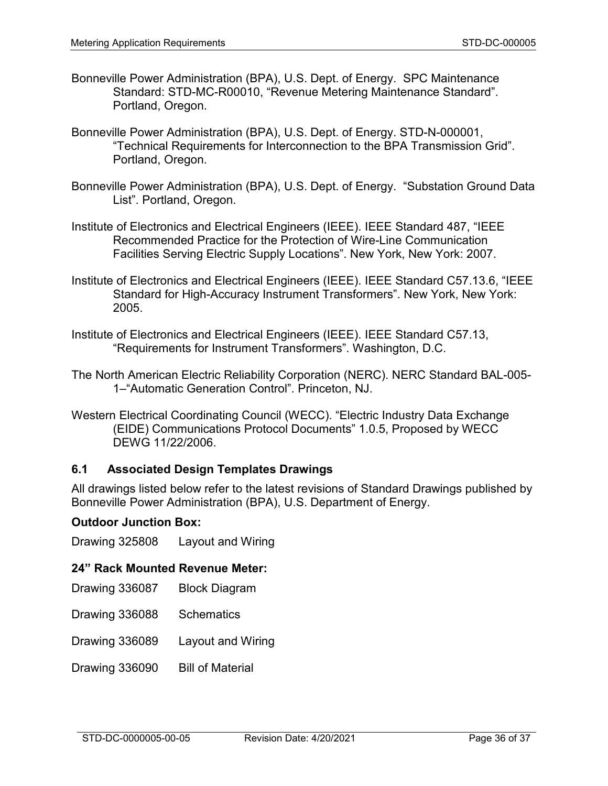- Bonneville Power Administration (BPA), U.S. Dept. of Energy. SPC Maintenance Standard: STD-MC-R00010, "Revenue Metering Maintenance Standard". Portland, Oregon.
- Bonneville Power Administration (BPA), U.S. Dept. of Energy. STD-N-000001, "Technical Requirements for Interconnection to the BPA Transmission Grid". Portland, Oregon.
- Bonneville Power Administration (BPA), U.S. Dept. of Energy. "Substation Ground Data List". Portland, Oregon.
- Institute of Electronics and Electrical Engineers (IEEE). IEEE Standard 487, "IEEE Recommended Practice for the Protection of Wire-Line Communication Facilities Serving Electric Supply Locations". New York, New York: 2007.
- Institute of Electronics and Electrical Engineers (IEEE). IEEE Standard C57.13.6, "IEEE Standard for High-Accuracy Instrument Transformers". New York, New York: 2005.
- Institute of Electronics and Electrical Engineers (IEEE). IEEE Standard C57.13, "Requirements for Instrument Transformers". Washington, D.C.
- The North American Electric Reliability Corporation (NERC). NERC Standard BAL-005- 1–"Automatic Generation Control". Princeton, NJ.
- Western Electrical Coordinating Council (WECC). "Electric Industry Data Exchange (EIDE) Communications Protocol Documents" 1.0.5, Proposed by WECC DEWG 11/22/2006.

## <span id="page-35-0"></span>**6.1 Associated Design Templates Drawings**

All drawings listed below refer to the latest revisions of Standard Drawings published by Bonneville Power Administration (BPA), U.S. Department of Energy.

#### **Outdoor Junction Box:**

Drawing 325808 Layout and Wiring

#### **24" Rack Mounted Revenue Meter:**

- Drawing 336087 Block Diagram
- Drawing 336088 Schematics
- Drawing 336089 Layout and Wiring
- Drawing 336090 Bill of Material